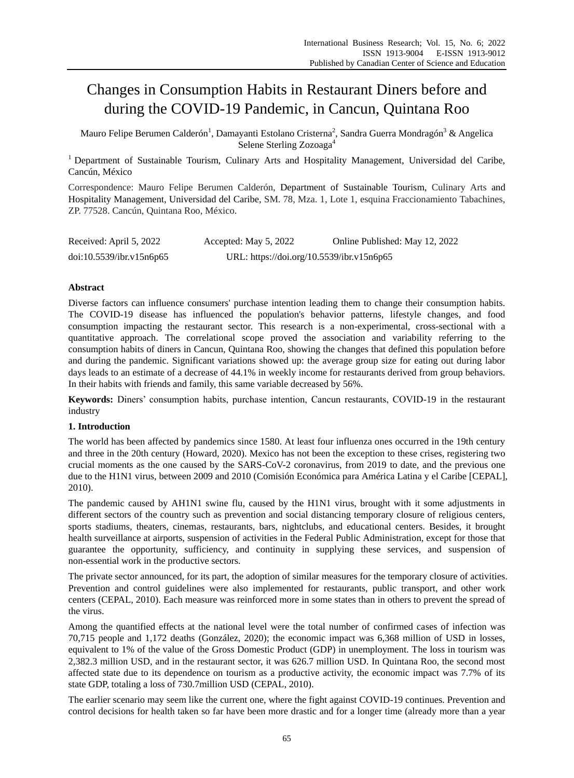# Changes in Consumption Habits in Restaurant Diners before and during the COVID-19 Pandemic, in Cancun, Quintana Roo

Mauro Felipe Berumen Calder ón $^1$ , Damayanti Estolano Cristerna $^2$ , Sandra Guerra Mondrag ón $^3$  & Angelica Selene Sterling Zozoaga<sup>4</sup>

<sup>1</sup> Department of Sustainable Tourism, Culinary Arts and Hospitality Management, Universidad del Caribe, Cancún, México

Correspondence: Mauro Felipe Berumen Calderón, Department of Sustainable Tourism, Culinary Arts and Hospitality Management, Universidad del Caribe, SM. 78, Mza. 1, Lote 1, esquina Fraccionamiento Tabachines, ZP. 77528. Cancún, Quintana Roo, México.

| Received: April 5, 2022  | Accepted: May 5, 2022                     | Online Published: May 12, 2022 |
|--------------------------|-------------------------------------------|--------------------------------|
| doi:10.5539/ibr.v15n6p65 | URL: https://doi.org/10.5539/ibr.v15n6p65 |                                |

# **Abstract**

Diverse factors can influence consumers' purchase intention leading them to change their consumption habits. The COVID-19 disease has influenced the population's behavior patterns, lifestyle changes, and food consumption impacting the restaurant sector. This research is a non-experimental, cross-sectional with a quantitative approach. The correlational scope proved the association and variability referring to the consumption habits of diners in Cancun, Quintana Roo, showing the changes that defined this population before and during the pandemic. Significant variations showed up: the average group size for eating out during labor days leads to an estimate of a decrease of 44.1% in weekly income for restaurants derived from group behaviors. In their habits with friends and family, this same variable decreased by 56%.

**Keywords:** Diners' consumption habits, purchase intention, Cancun restaurants, COVID-19 in the restaurant industry

# **1. Introduction**

The world has been affected by pandemics since 1580. At least four influenza ones occurred in the 19th century and three in the 20th century (Howard, 2020). Mexico has not been the exception to these crises, registering two crucial moments as the one caused by the SARS-CoV-2 coronavirus, from 2019 to date, and the previous one due to the H1N1 virus, between 2009 and 2010 (Comisión Económica para América Latina y el Caribe [CEPAL], 2010).

The pandemic caused by AH1N1 swine flu, caused by the H1N1 virus, brought with it some adjustments in different sectors of the country such as prevention and social distancing temporary closure of religious centers, sports stadiums, theaters, cinemas, restaurants, bars, nightclubs, and educational centers. Besides, it brought health surveillance at airports, suspension of activities in the Federal Public Administration, except for those that guarantee the opportunity, sufficiency, and continuity in supplying these services, and suspension of non-essential work in the productive sectors.

The private sector announced, for its part, the adoption of similar measures for the temporary closure of activities. Prevention and control guidelines were also implemented for restaurants, public transport, and other work centers (CEPAL, 2010). Each measure was reinforced more in some states than in others to prevent the spread of the virus.

Among the quantified effects at the national level were the total number of confirmed cases of infection was 70,715 people and 1,172 deaths (González, 2020); the economic impact was 6,368 million of USD in losses, equivalent to 1% of the value of the Gross Domestic Product (GDP) in unemployment. The loss in tourism was 2,382.3 million USD, and in the restaurant sector, it was 626.7 million USD. In Quintana Roo, the second most affected state due to its dependence on tourism as a productive activity, the economic impact was 7.7% of its state GDP, totaling a loss of 730.7million USD (CEPAL, 2010).

The earlier scenario may seem like the current one, where the fight against COVID-19 continues. Prevention and control decisions for health taken so far have been more drastic and for a longer time (already more than a year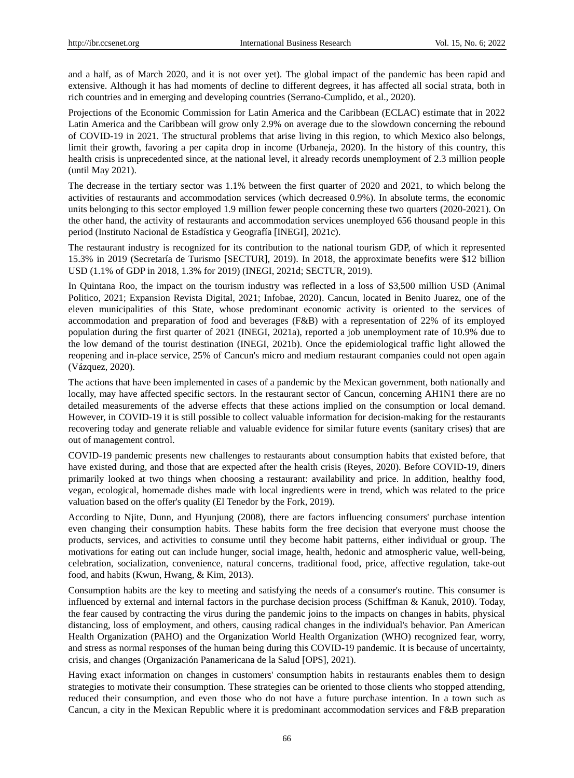and a half, as of March 2020, and it is not over yet). The global impact of the pandemic has been rapid and extensive. Although it has had moments of decline to different degrees, it has affected all social strata, both in rich countries and in emerging and developing countries (Serrano-Cumplido, et al., 2020).

Projections of the Economic Commission for Latin America and the Caribbean (ECLAC) estimate that in 2022 Latin America and the Caribbean will grow only 2.9% on average due to the slowdown concerning the rebound of COVID-19 in 2021. The structural problems that arise living in this region, to which Mexico also belongs, limit their growth, favoring a per capita drop in income (Urbaneja, 2020). In the history of this country, this health crisis is unprecedented since, at the national level, it already records unemployment of 2.3 million people (until May 2021).

The decrease in the tertiary sector was 1.1% between the first quarter of 2020 and 2021, to which belong the activities of restaurants and accommodation services (which decreased 0.9%). In absolute terms, the economic units belonging to this sector employed 1.9 million fewer people concerning these two quarters (2020-2021). On the other hand, the activity of restaurants and accommodation services unemployed 656 thousand people in this period (Instituto Nacional de Estadística y Geografía [INEGI], 2021c).

The restaurant industry is recognized for its contribution to the national tourism GDP, of which it represented 15.3% in 2019 (Secretaría de Turismo [SECTUR], 2019). In 2018, the approximate benefits were \$12 billion USD (1.1% of GDP in 2018, 1.3% for 2019) (INEGI, 2021d; SECTUR, 2019).

In Quintana Roo, the impact on the tourism industry was reflected in a loss of \$3,500 million USD (Animal Politico, 2021; Expansion Revista Digital, 2021; Infobae, 2020). Cancun, located in Benito Juarez, one of the eleven municipalities of this State, whose predominant economic activity is oriented to the services of accommodation and preparation of food and beverages (F&B) with a representation of 22% of its employed population during the first quarter of 2021 (INEGI, 2021a), reported a job unemployment rate of 10.9% due to the low demand of the tourist destination (INEGI, 2021b). Once the epidemiological traffic light allowed the reopening and in-place service, 25% of Cancun's micro and medium restaurant companies could not open again (Vázquez, 2020).

The actions that have been implemented in cases of a pandemic by the Mexican government, both nationally and locally, may have affected specific sectors. In the restaurant sector of Cancun, concerning AH1N1 there are no detailed measurements of the adverse effects that these actions implied on the consumption or local demand. However, in COVID-19 it is still possible to collect valuable information for decision-making for the restaurants recovering today and generate reliable and valuable evidence for similar future events (sanitary crises) that are out of management control.

COVID-19 pandemic presents new challenges to restaurants about consumption habits that existed before, that have existed during, and those that are expected after the health crisis (Reyes, 2020). Before COVID-19, diners primarily looked at two things when choosing a restaurant: availability and price. In addition, healthy food, vegan, ecological, homemade dishes made with local ingredients were in trend, which was related to the price valuation based on the offer's quality (El Tenedor by the Fork, 2019).

According to Njite, Dunn, and Hyunjung (2008), there are factors influencing consumers' purchase intention even changing their consumption habits. These habits form the free decision that everyone must choose the products, services, and activities to consume until they become habit patterns, either individual or group. The motivations for eating out can include hunger, social image, health, hedonic and atmospheric value, well-being, celebration, socialization, convenience, natural concerns, traditional food, price, affective regulation, take-out food, and habits (Kwun, Hwang, & Kim, 2013).

Consumption habits are the key to meeting and satisfying the needs of a consumer's routine. This consumer is influenced by external and internal factors in the purchase decision process (Schiffman & Kanuk, 2010). Today, the fear caused by contracting the virus during the pandemic joins to the impacts on changes in habits, physical distancing, loss of employment, and others, causing radical changes in the individual's behavior. Pan American Health Organization (PAHO) and the Organization World Health Organization (WHO) recognized fear, worry, and stress as normal responses of the human being during this COVID-19 pandemic. It is because of uncertainty, crisis, and changes (Organización Panamericana de la Salud [OPS], 2021).

Having exact information on changes in customers' consumption habits in restaurants enables them to design strategies to motivate their consumption. These strategies can be oriented to those clients who stopped attending, reduced their consumption, and even those who do not have a future purchase intention. In a town such as Cancun, a city in the Mexican Republic where it is predominant accommodation services and F&B preparation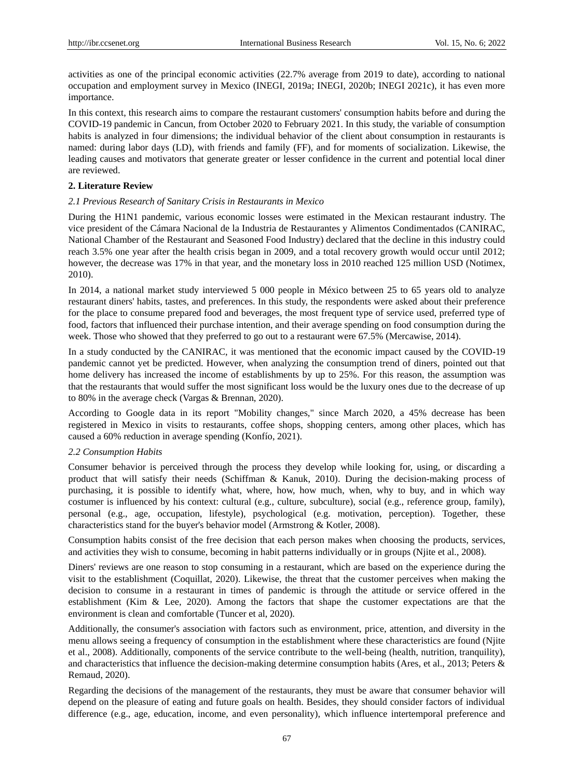activities as one of the principal economic activities (22.7% average from 2019 to date), according to national occupation and employment survey in Mexico (INEGI, 2019a; INEGI, 2020b; INEGI 2021c), it has even more importance.

In this context, this research aims to compare the restaurant customers' consumption habits before and during the COVID-19 pandemic in Cancun, from October 2020 to February 2021. In this study, the variable of consumption habits is analyzed in four dimensions; the individual behavior of the client about consumption in restaurants is named: during labor days (LD), with friends and family (FF), and for moments of socialization. Likewise, the leading causes and motivators that generate greater or lesser confidence in the current and potential local diner are reviewed.

# **2. Literature Review**

# *2.1 Previous Research of Sanitary Crisis in Restaurants in Mexico*

During the H1N1 pandemic, various economic losses were estimated in the Mexican restaurant industry. The vice president of the Cámara Nacional de la Industria de Restaurantes y Alimentos Condimentados (CANIRAC, National Chamber of the Restaurant and Seasoned Food Industry) declared that the decline in this industry could reach 3.5% one year after the health crisis began in 2009, and a total recovery growth would occur until 2012; however, the decrease was 17% in that year, and the monetary loss in 2010 reached 125 million USD (Notimex, 2010).

In 2014, a national market study interviewed 5 000 people in México between 25 to 65 years old to analyze restaurant diners' habits, tastes, and preferences. In this study, the respondents were asked about their preference for the place to consume prepared food and beverages, the most frequent type of service used, preferred type of food, factors that influenced their purchase intention, and their average spending on food consumption during the week. Those who showed that they preferred to go out to a restaurant were 67.5% (Mercawise, 2014).

In a study conducted by the CANIRAC, it was mentioned that the economic impact caused by the COVID-19 pandemic cannot yet be predicted. However, when analyzing the consumption trend of diners, pointed out that home delivery has increased the income of establishments by up to 25%. For this reason, the assumption was that the restaurants that would suffer the most significant loss would be the luxury ones due to the decrease of up to 80% in the average check (Vargas & Brennan, 2020).

According to Google data in its report "Mobility changes," since March 2020, a 45% decrease has been registered in Mexico in visits to restaurants, coffee shops, shopping centers, among other places, which has caused a 60% reduction in average spending (Konf  $\dot{\rm{b}}$ , 2021).

# *2.2 Consumption Habits*

Consumer behavior is perceived through the process they develop while looking for, using, or discarding a product that will satisfy their needs (Schiffman & Kanuk, 2010). During the decision-making process of purchasing, it is possible to identify what, where, how, how much, when, why to buy, and in which way costumer is influenced by his context: cultural (e.g., culture, subculture), social (e.g., reference group, family), personal (e.g., age, occupation, lifestyle), psychological (e.g. motivation, perception). Together, these characteristics stand for the buyer's behavior model (Armstrong & Kotler, 2008).

Consumption habits consist of the free decision that each person makes when choosing the products, services, and activities they wish to consume, becoming in habit patterns individually or in groups (Njite et al., 2008).

Diners' reviews are one reason to stop consuming in a restaurant, which are based on the experience during the visit to the establishment (Coquillat, 2020). Likewise, the threat that the customer perceives when making the decision to consume in a restaurant in times of pandemic is through the attitude or service offered in the establishment (Kim & Lee, 2020). Among the factors that shape the customer expectations are that the environment is clean and comfortable (Tuncer et al, 2020).

Additionally, the consumer's association with factors such as environment, price, attention, and diversity in the menu allows seeing a frequency of consumption in the establishment where these characteristics are found (Njite et al., 2008). Additionally, components of the service contribute to the well-being (health, nutrition, tranquility), and characteristics that influence the decision-making determine consumption habits (Ares, et al., 2013; Peters & Remaud, 2020).

Regarding the decisions of the management of the restaurants, they must be aware that consumer behavior will depend on the pleasure of eating and future goals on health. Besides, they should consider factors of individual difference (e.g., age, education, income, and even personality), which influence intertemporal preference and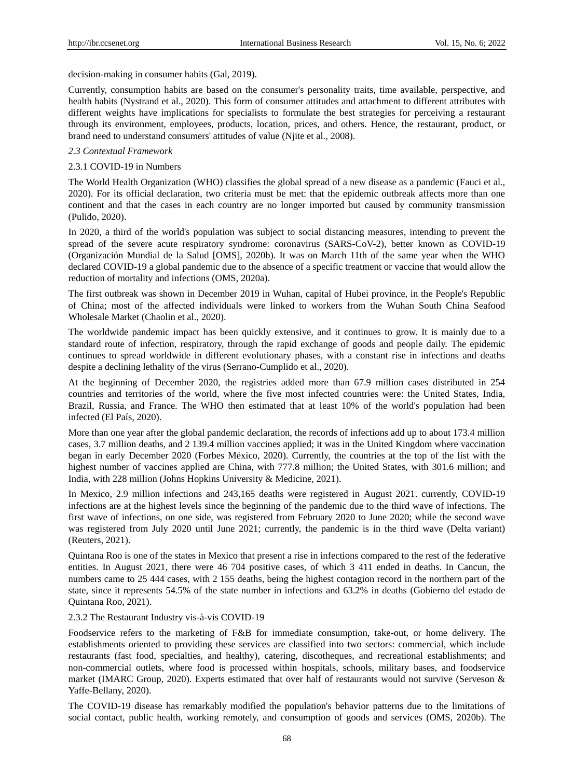decision-making in consumer habits (Gal, 2019).

Currently, consumption habits are based on the consumer's personality traits, time available, perspective, and health habits (Nystrand et al., 2020). This form of consumer attitudes and attachment to different attributes with different weights have implications for specialists to formulate the best strategies for perceiving a restaurant through its environment, employees, products, location, prices, and others. Hence, the restaurant, product, or brand need to understand consumers' attitudes of value (Njite et al., 2008).

# *2.3 Contextual Framework*

#### 2.3.1 COVID-19 in Numbers

The World Health Organization (WHO) classifies the global spread of a new disease as a pandemic (Fauci et al., 2020). For its official declaration, two criteria must be met: that the epidemic outbreak affects more than one continent and that the cases in each country are no longer imported but caused by community transmission (Pulido, 2020).

In 2020, a third of the world's population was subject to social distancing measures, intending to prevent the spread of the severe acute respiratory syndrome: coronavirus (SARS-CoV-2), better known as COVID-19 (Organización Mundial de la Salud [OMS], 2020b). It was on March 11th of the same year when the WHO declared COVID-19 a global pandemic due to the absence of a specific treatment or vaccine that would allow the reduction of mortality and infections (OMS, 2020a).

The first outbreak was shown in December 2019 in Wuhan, capital of Hubei province, in the People's Republic of China; most of the affected individuals were linked to workers from the Wuhan South China Seafood Wholesale Market (Chaolin et al., 2020).

The worldwide pandemic impact has been quickly extensive, and it continues to grow. It is mainly due to a standard route of infection, respiratory, through the rapid exchange of goods and people daily. The epidemic continues to spread worldwide in different evolutionary phases, with a constant rise in infections and deaths despite a declining lethality of the virus (Serrano-Cumplido et al., 2020).

At the beginning of December 2020, the registries added more than 67.9 million cases distributed in 254 countries and territories of the world, where the five most infected countries were: the United States, India, Brazil, Russia, and France. The WHO then estimated that at least 10% of the world's population had been infected (El Pa $\hat{\mathbf{s}}$ , 2020).

More than one year after the global pandemic declaration, the records of infections add up to about 173.4 million cases, 3.7 million deaths, and 2 139.4 million vaccines applied; it was in the United Kingdom where vaccination began in early December 2020 (Forbes México, 2020). Currently, the countries at the top of the list with the highest number of vaccines applied are China, with 777.8 million; the United States, with 301.6 million; and India, with 228 million (Johns Hopkins University & Medicine, 2021).

In Mexico, 2.9 million infections and 243,165 deaths were registered in August 2021. currently, COVID-19 infections are at the highest levels since the beginning of the pandemic due to the third wave of infections. The first wave of infections, on one side, was registered from February 2020 to June 2020; while the second wave was registered from July 2020 until June 2021; currently, the pandemic is in the third wave (Delta variant) (Reuters, 2021).

Quintana Roo is one of the states in Mexico that present a rise in infections compared to the rest of the federative entities. In August 2021, there were 46 704 positive cases, of which 3 411 ended in deaths. In Cancun, the numbers came to 25 444 cases, with 2 155 deaths, being the highest contagion record in the northern part of the state, since it represents 54.5% of the state number in infections and 63.2% in deaths (Gobierno del estado de Quintana Roo, 2021).

# 2.3.2 The Restaurant Industry vis-à-vis COVID-19

Foodservice refers to the marketing of F&B for immediate consumption, take-out, or home delivery. The establishments oriented to providing these services are classified into two sectors: commercial, which include restaurants (fast food, specialties, and healthy), catering, discotheques, and recreational establishments; and non-commercial outlets, where food is processed within hospitals, schools, military bases, and foodservice market (IMARC Group, 2020). Experts estimated that over half of restaurants would not survive (Serveson & Yaffe-Bellany, 2020).

The COVID-19 disease has remarkably modified the population's behavior patterns due to the limitations of social contact, public health, working remotely, and consumption of goods and services (OMS, 2020b). The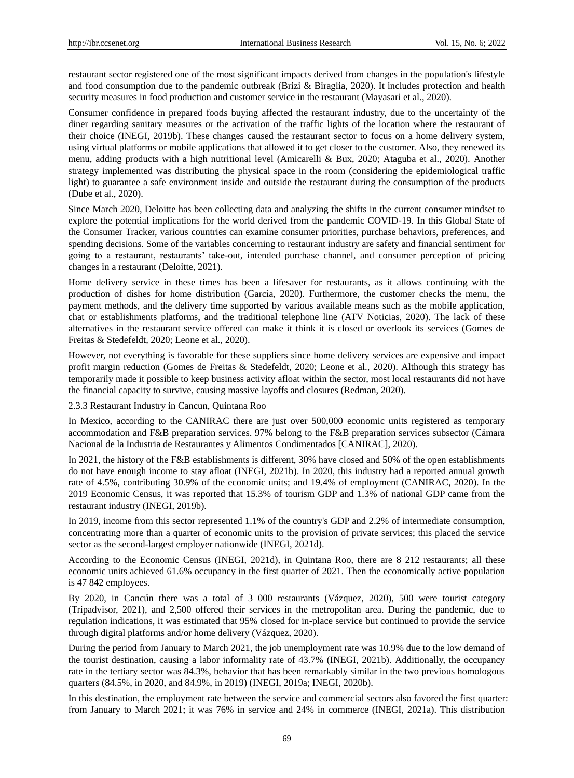restaurant sector registered one of the most significant impacts derived from changes in the population's lifestyle and food consumption due to the pandemic outbreak (Brizi & Biraglia, 2020). It includes protection and health security measures in food production and customer service in the restaurant (Mayasari et al., 2020).

Consumer confidence in prepared foods buying affected the restaurant industry, due to the uncertainty of the diner regarding sanitary measures or the activation of the traffic lights of the location where the restaurant of their choice (INEGI, 2019b). These changes caused the restaurant sector to focus on a home delivery system, using virtual platforms or mobile applications that allowed it to get closer to the customer. Also, they renewed its menu, adding products with a high nutritional level (Amicarelli & Bux, 2020; Ataguba et al., 2020). Another strategy implemented was distributing the physical space in the room (considering the epidemiological traffic light) to guarantee a safe environment inside and outside the restaurant during the consumption of the products (Dube et al., 2020).

Since March 2020, Deloitte has been collecting data and analyzing the shifts in the current consumer mindset to explore the potential implications for the world derived from the pandemic COVID-19. In this Global State of the Consumer Tracker, various countries can examine consumer priorities, purchase behaviors, preferences, and spending decisions. Some of the variables concerning to restaurant industry are safety and financial sentiment for going to a restaurant, restaurants' take-out, intended purchase channel, and consumer perception of pricing changes in a restaurant (Deloitte, 2021).

Home delivery service in these times has been a lifesaver for restaurants, as it allows continuing with the production of dishes for home distribution (García, 2020). Furthermore, the customer checks the menu, the payment methods, and the delivery time supported by various available means such as the mobile application, chat or establishments platforms, and the traditional telephone line (ATV Noticias, 2020). The lack of these alternatives in the restaurant service offered can make it think it is closed or overlook its services (Gomes de Freitas & Stedefeldt, 2020; Leone et al., 2020).

However, not everything is favorable for these suppliers since home delivery services are expensive and impact profit margin reduction (Gomes de Freitas & Stedefeldt, 2020; Leone et al., 2020). Although this strategy has temporarily made it possible to keep business activity afloat within the sector, most local restaurants did not have the financial capacity to survive, causing massive layoffs and closures (Redman, 2020).

2.3.3 Restaurant Industry in Cancun, Quintana Roo

In Mexico, according to the CANIRAC there are just over 500,000 economic units registered as temporary accommodation and F&B preparation services. 97% belong to the F&B preparation services subsector (Cámara Nacional de la Industria de Restaurantes y Alimentos Condimentados [CANIRAC], 2020).

In 2021, the history of the F&B establishments is different, 30% have closed and 50% of the open establishments do not have enough income to stay afloat (INEGI, 2021b). In 2020, this industry had a reported annual growth rate of 4.5%, contributing 30.9% of the economic units; and 19.4% of employment (CANIRAC, 2020). In the 2019 Economic Census, it was reported that 15.3% of tourism GDP and 1.3% of national GDP came from the restaurant industry (INEGI, 2019b).

In 2019, income from this sector represented 1.1% of the country's GDP and 2.2% of intermediate consumption, concentrating more than a quarter of economic units to the provision of private services; this placed the service sector as the second-largest employer nationwide (INEGI, 2021d).

According to the Economic Census (INEGI, 2021d), in Quintana Roo, there are 8 212 restaurants; all these economic units achieved 61.6% occupancy in the first quarter of 2021. Then the economically active population is 47 842 employees.

By 2020, in Cancún there was a total of 3 000 restaurants (V ázquez, 2020), 500 were tourist category (Tripadvisor, 2021), and 2,500 offered their services in the metropolitan area. During the pandemic, due to regulation indications, it was estimated that 95% closed for in-place service but continued to provide the service through digital platforms and/or home delivery (V ázquez, 2020).

During the period from January to March 2021, the job unemployment rate was 10.9% due to the low demand of the tourist destination, causing a labor informality rate of 43.7% (INEGI, 2021b). Additionally, the occupancy rate in the tertiary sector was 84.3%, behavior that has been remarkably similar in the two previous homologous quarters (84.5%, in 2020, and 84.9%, in 2019) (INEGI, 2019a; INEGI, 2020b).

In this destination, the employment rate between the service and commercial sectors also favored the first quarter: from January to March 2021; it was 76% in service and 24% in commerce (INEGI, 2021a). This distribution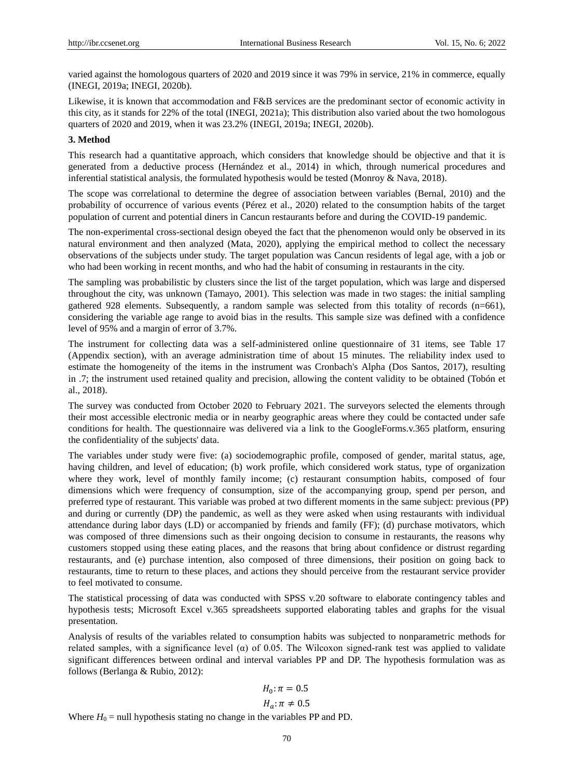varied against the homologous quarters of 2020 and 2019 since it was 79% in service, 21% in commerce, equally (INEGI, 2019a; INEGI, 2020b).

Likewise, it is known that accommodation and F&B services are the predominant sector of economic activity in this city, as it stands for 22% of the total (INEGI, 2021a); This distribution also varied about the two homologous quarters of 2020 and 2019, when it was 23.2% (INEGI, 2019a; INEGI, 2020b).

# **3. Method**

This research had a quantitative approach, which considers that knowledge should be objective and that it is generated from a deductive process (Hernández et al., 2014) in which, through numerical procedures and inferential statistical analysis, the formulated hypothesis would be tested (Monroy & Nava, 2018).

The scope was correlational to determine the degree of association between variables (Bernal, 2010) and the probability of occurrence of various events (Pérez et al., 2020) related to the consumption habits of the target population of current and potential diners in Cancun restaurants before and during the COVID-19 pandemic.

The non-experimental cross-sectional design obeyed the fact that the phenomenon would only be observed in its natural environment and then analyzed (Mata, 2020), applying the empirical method to collect the necessary observations of the subjects under study. The target population was Cancun residents of legal age, with a job or who had been working in recent months, and who had the habit of consuming in restaurants in the city.

The sampling was probabilistic by clusters since the list of the target population, which was large and dispersed throughout the city, was unknown (Tamayo, 2001). This selection was made in two stages: the initial sampling gathered 928 elements. Subsequently, a random sample was selected from this totality of records (n=661), considering the variable age range to avoid bias in the results. This sample size was defined with a confidence level of 95% and a margin of error of 3.7%.

The instrument for collecting data was a self-administered online questionnaire of 31 items, see Table 17 (Appendix section), with an average administration time of about 15 minutes. The reliability index used to estimate the homogeneity of the items in the instrument was Cronbach's Alpha (Dos Santos, 2017), resulting in .7; the instrument used retained quality and precision, allowing the content validity to be obtained (Tobón et al., 2018).

The survey was conducted from October 2020 to February 2021. The surveyors selected the elements through their most accessible electronic media or in nearby geographic areas where they could be contacted under safe conditions for health. The questionnaire was delivered via a link to the GoogleForms.v.365 platform, ensuring the confidentiality of the subjects' data.

The variables under study were five: (a) sociodemographic profile, composed of gender, marital status, age, having children, and level of education; (b) work profile, which considered work status, type of organization where they work, level of monthly family income; (c) restaurant consumption habits, composed of four dimensions which were frequency of consumption, size of the accompanying group, spend per person, and preferred type of restaurant. This variable was probed at two different moments in the same subject: previous (PP) and during or currently (DP) the pandemic, as well as they were asked when using restaurants with individual attendance during labor days (LD) or accompanied by friends and family (FF); (d) purchase motivators, which was composed of three dimensions such as their ongoing decision to consume in restaurants, the reasons why customers stopped using these eating places, and the reasons that bring about confidence or distrust regarding restaurants, and (e) purchase intention, also composed of three dimensions, their position on going back to restaurants, time to return to these places, and actions they should perceive from the restaurant service provider to feel motivated to consume.

The statistical processing of data was conducted with SPSS v.20 software to elaborate contingency tables and hypothesis tests; Microsoft Excel v.365 spreadsheets supported elaborating tables and graphs for the visual presentation.

Analysis of results of the variables related to consumption habits was subjected to nonparametric methods for related samples, with a significance level ( $\alpha$ ) of 0.05. The Wilcoxon signed-rank test was applied to validate significant differences between ordinal and interval variables PP and DP. The hypothesis formulation was as follows (Berlanga & Rubio, 2012):

$$
H_0: \pi = 0.5
$$

$$
H_a: \pi \neq 0.5
$$

Where  $H_0$  = null hypothesis stating no change in the variables PP and PD.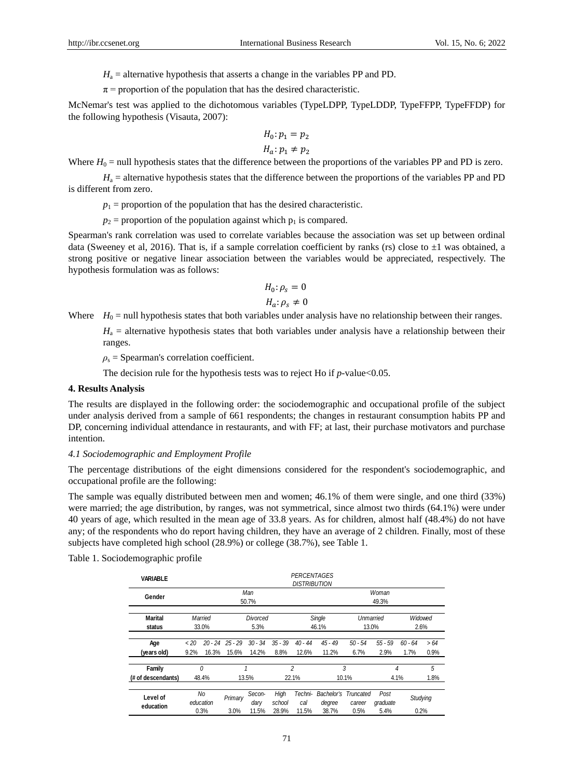$H_a$  = alternative hypothesis that asserts a change in the variables PP and PD.

 $\pi$  = proportion of the population that has the desired characteristic.

McNemar's test was applied to the dichotomous variables (TypeLDPP, TypeLDDP, TypeFFPP, TypeFFDP) for the following hypothesis (Visauta, 2007):

$$
H_0: p_1 = p_2
$$
  

$$
H_a: p_1 \neq p_2
$$

Where  $H_0$  = null hypothesis states that the difference between the proportions of the variables PP and PD is zero.

 $H<sub>a</sub>$  = alternative hypothesis states that the difference between the proportions of the variables PP and PD is different from zero.

 $p_1$  = proportion of the population that has the desired characteristic.

 $p_2$  = proportion of the population against which  $p_1$  is compared.

Spearman's rank correlation was used to correlate variables because the association was set up between ordinal data (Sweeney et al. 2016). That is, if a sample correlation coefficient by ranks (rs) close to  $\pm 1$  was obtained, a strong positive or negative linear association between the variables would be appreciated, respectively. The hypothesis formulation was as follows:

$$
H_0: \rho_s = 0
$$
  

$$
H_a: \rho_s \neq 0
$$

Where  $H_0$  = null hypothesis states that both variables under analysis have no relationship between their ranges.

 $H_a$  = alternative hypothesis states that both variables under analysis have a relationship between their ranges.

 $\rho_s$  = Spearman's correlation coefficient.

The decision rule for the hypothesis tests was to reject Ho if *p*-value<0.05.

# **4. Results Analysis**

The results are displayed in the following order: the sociodemographic and occupational profile of the subject under analysis derived from a sample of 661 respondents; the changes in restaurant consumption habits PP and DP, concerning individual attendance in restaurants, and with FF; at last, their purchase motivators and purchase intention.

# *4.1 Sociodemographic and Employment Profile*

The percentage distributions of the eight dimensions considered for the respondent's sociodemographic, and occupational profile are the following:

The sample was equally distributed between men and women; 46.1% of them were single, and one third (33%) were married; the age distribution, by ranges, was not symmetrical, since almost two thirds (64.1%) were under 40 years of age, which resulted in the mean age of 33.8 years. As for children, almost half (48.4%) do not have any; of the respondents who do report having children, they have an average of 2 children. Finally, most of these subjects have completed high school (28.9%) or college (38.7%), see Table 1.

Table 1. Sociodemographic profile

| <b>VARIABLE</b>              |                 |                         |                              |                         |                         | PERCENTAGES<br>DISTRIBUTION |                               |                             |                          |                   |                  |
|------------------------------|-----------------|-------------------------|------------------------------|-------------------------|-------------------------|-----------------------------|-------------------------------|-----------------------------|--------------------------|-------------------|------------------|
| Gender                       |                 | Man<br>50.7%            |                              |                         |                         |                             | Woman<br>49.3%                |                             |                          |                   |                  |
| <b>Marital</b><br>status     |                 | Married<br>33.0%        |                              | Divorced<br>5.3%        |                         |                             | Single<br>46.1%               | Unmarried<br>13.0%          |                          |                   | Widowed<br>2.6%  |
| Age<br>(vears old)           | $~<$ 20<br>9.2% | 16.3%                   | $20 - 24$ $25 - 29$<br>15.6% | $30 - 34$<br>14.2%      | $35 - 39$<br>8.8%       | $40 - 44$<br>12.6%          | $45 - 49$<br>11.2%            | $50 - 54$<br>6.7%           | $55 - 59$<br>2.9%        | $60 - 64$<br>1.7% | >64<br>0.9%      |
| Family<br>(# of descendants) |                 | 0<br>48.4%              |                              | 1<br>13.5%              |                         | 2<br>22.1%                  |                               | 3<br>10.1%                  |                          | 4<br>4.1%         | 5<br>1.8%        |
| Level of<br>education        |                 | No<br>education<br>0.3% | Primary<br>3.0%              | Secon-<br>dary<br>11.5% | High<br>school<br>28.9% | Techni-<br>cal<br>11.5%     | Bachelor's<br>degree<br>38.7% | Truncated<br>career<br>0.5% | Post<br>graduate<br>5.4% |                   | Studying<br>0.2% |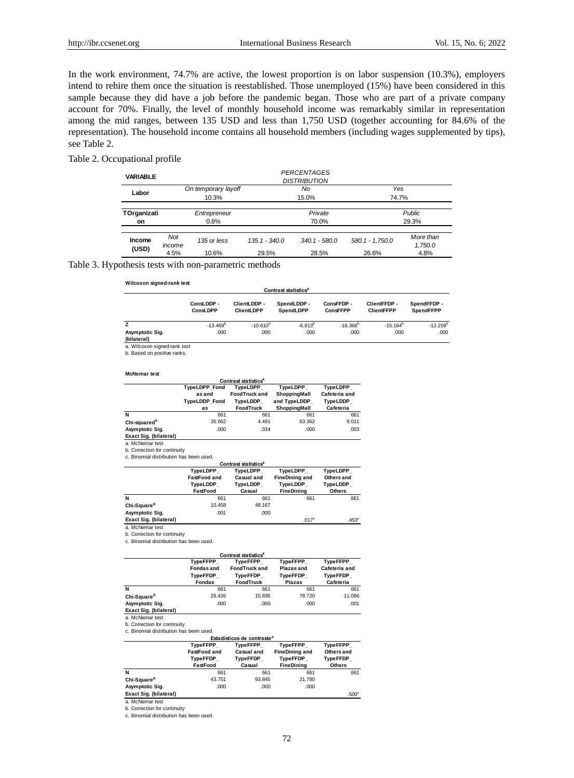In the work environment, 74.7% are active, the lowest proportion is on labor suspension (10.3%), employers intend to rehire them once the situation is reestablished. Those unemployed (15%) have been considered in this sample because they did have a job before the pandemic began. Those who are part of a private company account for 70%. Finally, the level of monthly household income was remarkably similar in representation among the mid ranges, between 135 USD and less than 1,750 USD (together accounting for 84.6% of the representation). The household income contains all household members (including wages supplemented by tips), see Table 2.

# Table 2. Occupational profile

| <b>VARIABLE</b> |                              | PERCENTAGES<br><b>DISTRIBUTION</b> |                 |                 |                 |                      |
|-----------------|------------------------------|------------------------------------|-----------------|-----------------|-----------------|----------------------|
| Labor           | On temporary layoff<br>10.3% |                                    |                 | No<br>15.0%     | Yes<br>74.7%    |                      |
|                 |                              |                                    |                 |                 |                 |                      |
| TOrganizati     |                              | Entrepreneur                       |                 | Private         |                 | Public               |
| on              |                              | 0.8%                               |                 | 70.0%           |                 | 29.3%                |
|                 |                              |                                    |                 |                 |                 |                      |
| Income          | Not<br>income                | 135 or less                        | $135.1 - 340.0$ | $340.1 - 580.0$ | 580.1 - 1.750.0 | More than<br>1,750.0 |
| (USD)           | 4.5%                         | 10.6%                              | 29.5%           | 28.5%           | 26.6%           | 4.8%                 |

#### Table 3. Hypothesis tests with non-parametric methods

|  | Wilcoxon signed-rank test |
|--|---------------------------|
|--|---------------------------|

#### **Contrast statistics<sup>a</sup>**

|                 | ConsLDDP -<br>ConsLDPP | ClientLDDP -<br><b>ClientLDPP</b> | SpendLDDP -<br><b>SpendLDPP</b> | ConsFFDP -<br>ConsFFPP | ClientFFDP -<br><b>ClientFFPP</b> | SpendFFDP -<br><b>SpendFFPP</b> |
|-----------------|------------------------|-----------------------------------|---------------------------------|------------------------|-----------------------------------|---------------------------------|
|                 | $-13.469^{\circ}$      | $-10.610^{b}$                     | $-6.813^{D}$                    | $-16.366^{\circ}$      | $-15.164^{\circ}$                 | $-12.258^{b}$                   |
| Asymptotic Sig. | .000                   | .000                              | .000                            | .000                   | .000                              | .000                            |
| (bilateral)     |                        |                                   |                                 |                        |                                   |                                 |

.453<sup>c</sup>

a. Wilcoxon signed-rank test b. Based on positive ranks.

**McNemar test**

| munvillai ww                     |                               |                                  |                          |                           |  |  |  |
|----------------------------------|-------------------------------|----------------------------------|--------------------------|---------------------------|--|--|--|
| Contrast statistics <sup>a</sup> |                               |                                  |                          |                           |  |  |  |
|                                  | <b>TypeLDPP Fond</b><br>asand | TypeLDPP<br><b>FoodTruck and</b> | TvpeLDPP<br>ShoppingMall | TypeLDPP<br>Cafeteria and |  |  |  |
|                                  | <b>TypeLDDP Fond</b>          | TvpeLDDP                         | and TypeLDDP             | TypeLDDP                  |  |  |  |
|                                  | as                            | <b>FoodTruck</b>                 | ShoppingMall             | Cafeteria                 |  |  |  |
| N                                | 661                           | 661                              | 661                      | 661                       |  |  |  |
| Chi-squared <sup>b</sup>         | 35.062                        | 4.491                            | 63.362                   | 9.011                     |  |  |  |
| Asymptotic Sig.                  | .000                          | .034                             | .000                     | .003                      |  |  |  |
| Exact Sig. (bilateral)           |                               |                                  |                          |                           |  |  |  |
|                                  |                               |                                  |                          |                           |  |  |  |

a. McNemar test

b. Correction for continuity<br>c. Binomial distribution has been used.

| Contrast statistics <sup>a</sup> |                     |                 |                       |               |  |  |  |
|----------------------------------|---------------------|-----------------|-----------------------|---------------|--|--|--|
|                                  | TypeLDPP            | TypeLDPP        | TypeLDPP              | TypeLDPP      |  |  |  |
|                                  | <b>FastFood and</b> | Casual and      | <b>FineDining and</b> | Others and    |  |  |  |
|                                  | TypeLDDP            | <b>TypeLDDP</b> | <b>TypeLDDP</b>       | TypeLDDP_     |  |  |  |
|                                  | FastFood            | Casual          | <b>FineDining</b>     | <b>Others</b> |  |  |  |
| N                                | 661                 | 661             | 661                   | 661           |  |  |  |
| Chi-Square <sup>b</sup>          | 10.458              | 48.167          |                       |               |  |  |  |
| Asymptotic Sig.                  | .001                | .000            |                       |               |  |  |  |

**Exact Sig. (bilateral)** .017<sup>c</sup> a. McNemar test

b. Correction for continuity

c. Binomial distribution has been used.

| Contrast statistics <sup>a</sup> |                                                     |                      |                 |                 |  |  |  |  |
|----------------------------------|-----------------------------------------------------|----------------------|-----------------|-----------------|--|--|--|--|
|                                  | <b>TypeFFPP</b><br>TypeFFPP<br>TypeFFPP<br>TypeFFPP |                      |                 |                 |  |  |  |  |
|                                  | Fondas and                                          | <b>FoodTruck and</b> | Plazas and      | Cafeteria and   |  |  |  |  |
|                                  | <b>TypeFFDP</b>                                     | <b>TypeFFDP</b>      | <b>TvpeFFDP</b> | <b>TypeFFDP</b> |  |  |  |  |
|                                  | <b>Fondas</b>                                       | <b>FoodTruck</b>     | <b>Plazas</b>   | Cafeteria       |  |  |  |  |
| N                                | 661                                                 | 661                  | 661             | 661             |  |  |  |  |
| Chi-Square <sup>b</sup>          | 26.426                                              | 15,836               | 78.720          | 11.066          |  |  |  |  |
| Asymptotic Sig.                  | .000                                                | .000                 | .000            | .001            |  |  |  |  |
| Exact Sig. (bilateral)           |                                                     |                      |                 |                 |  |  |  |  |
| a. McNemar test                  |                                                     |                      |                 |                 |  |  |  |  |

b. Correction for continuity c. Binomial distribution has been used.

**Estadísticos de contraste<sup>a</sup>**

|                         | <b>TypeFFPP</b>                             | TvpeFFPP                                | <b>TypeFFPP</b>                                               | TypeFFPP                                       |  |
|-------------------------|---------------------------------------------|-----------------------------------------|---------------------------------------------------------------|------------------------------------------------|--|
|                         | FastFood and<br><b>TypeFFDP</b><br>FastFood | Casual and<br><b>TypeFFDP</b><br>Casual | <b>FineDining and</b><br><b>TypeFFDP</b><br><b>FineDining</b> | Others and<br><b>TypeFFDP</b><br><b>Others</b> |  |
| N                       | 661                                         | 661                                     | 661                                                           | 661                                            |  |
| Chi-Square <sup>b</sup> | 43.751                                      | 93.845                                  | 21.780                                                        |                                                |  |
| Asymptotic Sig.         | .000                                        | .000                                    | .000                                                          |                                                |  |
| Exact Sig. (bilateral)  |                                             |                                         |                                                               | .500 <sup>c</sup>                              |  |

a. McNemar test b. Correction for continuity

c. Binomial distribution has been used.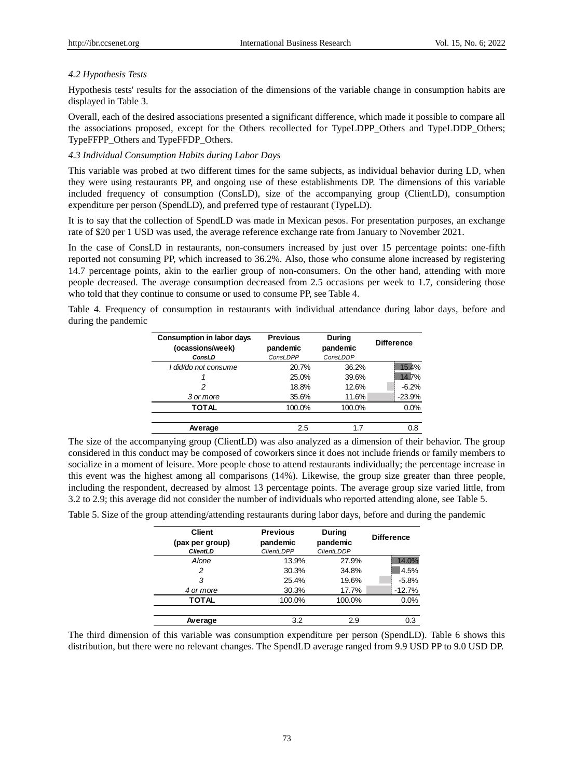# *4.2 Hypothesis Tests*

Hypothesis tests' results for the association of the dimensions of the variable change in consumption habits are displayed in Table 3.

Overall, each of the desired associations presented a significant difference, which made it possible to compare all the associations proposed, except for the Others recollected for TypeLDPP\_Others and TypeLDDP\_Others; TypeFFPP\_Others and TypeFFDP\_Others.

# *4.3 Individual Consumption Habits during Labor Days*

This variable was probed at two different times for the same subjects, as individual behavior during LD, when they were using restaurants PP, and ongoing use of these establishments DP. The dimensions of this variable included frequency of consumption (ConsLD), size of the accompanying group (ClientLD), consumption expenditure per person (SpendLD), and preferred type of restaurant (TypeLD).

It is to say that the collection of SpendLD was made in Mexican pesos. For presentation purposes, an exchange rate of \$20 per 1 USD was used, the average reference exchange rate from January to November 2021.

In the case of ConsLD in restaurants, non-consumers increased by just over 15 percentage points: one-fifth reported not consuming PP, which increased to 36.2%. Also, those who consume alone increased by registering 14.7 percentage points, akin to the earlier group of non-consumers. On the other hand, attending with more people decreased. The average consumption decreased from 2.5 occasions per week to 1.7, considering those who told that they continue to consume or used to consume PP, see Table 4.

Table 4. Frequency of consumption in restaurants with individual attendance during labor days, before and during the pandemic

| Consumption in labor days<br>(ocassions/week) | <b>Previous</b><br>pandemic | During<br>pandemic | <b>Difference</b> |
|-----------------------------------------------|-----------------------------|--------------------|-------------------|
| ConsLD                                        | ConsLDPP                    | ConsLDDP           |                   |
| I did/do not consume                          | 20.7%                       | 36.2%              | 15.4%             |
|                                               | 25.0%                       | 39.6%              | 14.7%             |
| 2                                             | 18.8%                       | 12.6%              | $-6.2%$           |
| 3 or more                                     | 35.6%                       | 11.6%              | $-23.9%$          |
| TOTAL                                         | 100.0%                      | 100.0%             | 0.0%              |
|                                               |                             |                    |                   |
| Average                                       | 2.5                         | 17                 | 0.8               |

The size of the accompanying group (ClientLD) was also analyzed as a dimension of their behavior. The group considered in this conduct may be composed of coworkers since it does not include friends or family members to socialize in a moment of leisure. More people chose to attend restaurants individually; the percentage increase in this event was the highest among all comparisons (14%). Likewise, the group size greater than three people, including the respondent, decreased by almost 13 percentage points. The average group size varied little, from 3.2 to 2.9; this average did not consider the number of individuals who reported attending alone, see Table 5.

Table 5. Size of the group attending/attending restaurants during labor days, before and during the pandemic

| <b>Client</b><br>(pax per group)<br><b>ClientLD</b> | <b>Previous</b><br>pandemic<br><b>ClientLDPP</b> | <b>During</b><br>pandemic<br><b>ClientLDDP</b> | <b>Difference</b> |
|-----------------------------------------------------|--------------------------------------------------|------------------------------------------------|-------------------|
| Alone                                               | 13.9%                                            | 27.9%                                          | 14.0%             |
| 2                                                   | 30.3%                                            | 34.8%                                          | 4.5%              |
| 3                                                   | 25.4%                                            | 19.6%                                          | $-5.8%$           |
| 4 or more                                           | 30.3%                                            | 17.7%                                          | $-12.7%$          |
| <b>TOTAL</b>                                        | 100.0%                                           | 100.0%                                         | 0.0%              |
| Average                                             | 3.2                                              | 2.9                                            | 0.3               |

The third dimension of this variable was consumption expenditure per person (SpendLD). Table 6 shows this distribution, but there were no relevant changes. The SpendLD average ranged from 9.9 USD PP to 9.0 USD DP.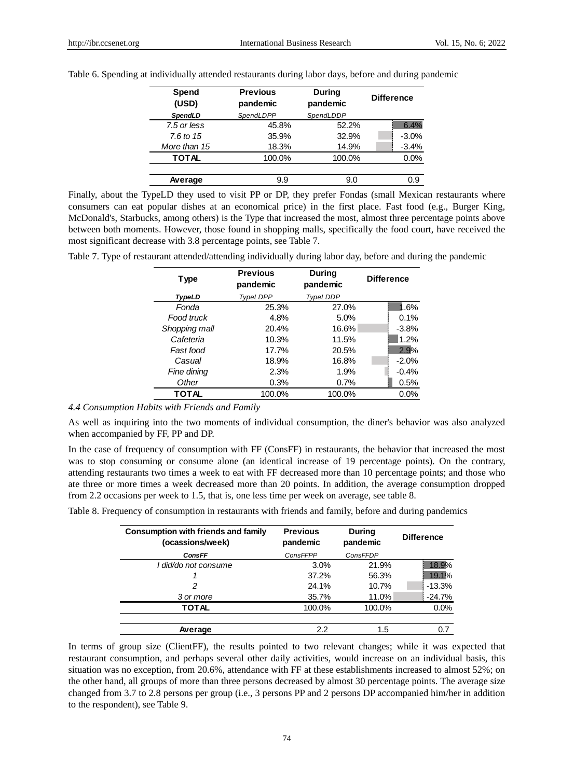| Spend<br>(USD) | <b>Previous</b><br>pandemic | <b>During</b><br>pandemic | <b>Difference</b> |
|----------------|-----------------------------|---------------------------|-------------------|
| SpendLD        | SpendLDPP                   | SpendLDDP                 |                   |
| 7.5 or less    | 45.8%                       | 52.2%                     | 6.4%              |
| 7.6 to $15$    | 35.9%                       | 32.9%                     | $-3.0%$           |
| More than 15   | 18.3%                       | 14.9%                     | $-3.4%$           |
| TOTAL          | 100.0%                      | 100.0%                    | 0.0%              |
|                |                             |                           |                   |
| Average        | 9.9                         | 9.0                       | 0.9               |

Table 6. Spending at individually attended restaurants during labor days, before and during pandemic

Finally, about the TypeLD they used to visit PP or DP, they prefer Fondas (small Mexican restaurants where consumers can eat popular dishes at an economical price) in the first place. Fast food (e.g., Burger King, McDonald's, Starbucks, among others) is the Type that increased the most, almost three percentage points above between both moments. However, those found in shopping malls, specifically the food court, have received the most significant decrease with 3.8 percentage points, see Table 7.

| Type          | Previous<br>pandemic | During<br>pandemic | <b>Difference</b> |
|---------------|----------------------|--------------------|-------------------|
| TypeLD        | TypeLDPP             | TypeLDDP           |                   |
| Fonda         | 25.3%                | 27.0%              | 1.6%              |
| Food truck    | 4.8%                 | 5.0%               | 0.1%              |
| Shopping mall | 20.4%                | 16.6%              | $-3.8%$           |
| Cafeteria     | 10.3%                | 11.5%              | 1.2%              |
| Fast food     | 17.7%                | 20.5%              | 2.9%              |
| Casual        | 18.9%                | 16.8%              | $-2.0%$           |
| Fine dining   | 2.3%                 | 1.9%               | $-0.4%$           |
| Other         | 0.3%                 | 0.7%               | 0.5%              |
| TOTAL         | 100.0%               | 100.0%             | 0.0%              |

Table 7. Type of restaurant attended/attending individually during labor day, before and during the pandemic

# *4.4 Consumption Habits with Friends and Family*

As well as inquiring into the two moments of individual consumption, the diner's behavior was also analyzed when accompanied by FF, PP and DP.

In the case of frequency of consumption with FF (ConsFF) in restaurants, the behavior that increased the most was to stop consuming or consume alone (an identical increase of 19 percentage points). On the contrary, attending restaurants two times a week to eat with FF decreased more than 10 percentage points; and those who ate three or more times a week decreased more than 20 points. In addition, the average consumption dropped from 2.2 occasions per week to 1.5, that is, one less time per week on average, see table 8.

Table 8. Frequency of consumption in restaurants with friends and family, before and during pandemics

| <b>Consumption with friends and family</b><br>(ocassions/week) | <b>Previous</b><br>pandemic | <b>During</b><br>pandemic | <b>Difference</b> |
|----------------------------------------------------------------|-----------------------------|---------------------------|-------------------|
| <b>ConsFF</b>                                                  | ConsFFPP                    | ConsFFDP                  |                   |
| I did/do not consume                                           | 3.0%                        | 21.9%                     | 18.9%             |
|                                                                | 37.2%                       | 56.3%                     | 19.1%             |
|                                                                | 24.1%                       | 10.7%                     | $-13.3%$          |
| 3 or more                                                      | 35.7%                       | 11.0%                     | $-24.7%$          |
| TOTAL                                                          | 100.0%                      | 100.0%                    | 0.0%              |
|                                                                |                             |                           |                   |
| Average                                                        | 2.2                         | 1.5                       | 0.7               |

In terms of group size (ClientFF), the results pointed to two relevant changes; while it was expected that restaurant consumption, and perhaps several other daily activities, would increase on an individual basis, this situation was no exception, from 20.6%, attendance with FF at these establishments increased to almost 52%; on the other hand, all groups of more than three persons decreased by almost 30 percentage points. The average size changed from 3.7 to 2.8 persons per group (i.e., 3 persons PP and 2 persons DP accompanied him/her in addition to the respondent), see Table 9.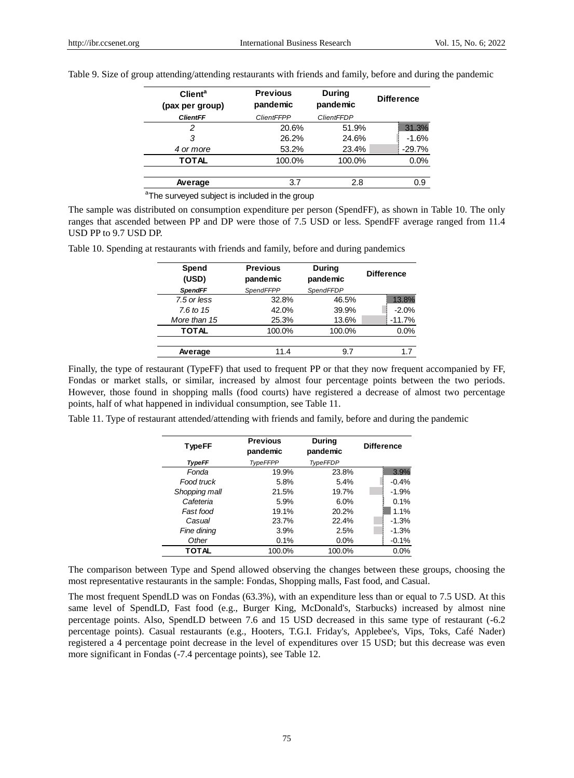| <b>Client<sup>a</sup></b><br>(pax per group) | <b>Previous</b><br>pandemic | During<br>pandemic | <b>Difference</b> |
|----------------------------------------------|-----------------------------|--------------------|-------------------|
| <b>ClientFF</b>                              | <b>ClientFFPP</b>           | <b>ClientFFDP</b>  |                   |
|                                              | 20.6%                       | 51.9%              | 31.3%             |
| 3                                            | 26.2%                       | 24.6%              | $-1.6%$           |
| 4 or more                                    | 53.2%                       | 23.4%              | $-29.7%$          |
| <b>TOTAL</b>                                 | 100.0%                      | 100.0%             | 0.0%              |
|                                              |                             |                    |                   |
| Average                                      | 3.7                         | 2.8                | 0.9               |

Table 9. Size of group attending/attending restaurants with friends and family, before and during the pandemic

<sup>a</sup>The surveyed subject is included in the group

The sample was distributed on consumption expenditure per person (SpendFF), as shown in Table 10. The only ranges that ascended between PP and DP were those of 7.5 USD or less. SpendFF average ranged from 11.4 USD PP to 9.7 USD DP.

| Spend<br>(USD) | <b>Previous</b><br>pandemic | <b>During</b><br>pandemic | <b>Difference</b> |
|----------------|-----------------------------|---------------------------|-------------------|
| <b>SpendFF</b> | SpendFFPP                   | SpendFFDP                 |                   |
| 7.5 or less    | 32.8%                       | 46.5%                     | 13.8%             |
| 7.6 to $15$    | 42.0%                       | 39.9%                     | $-2.0%$           |
| More than 15   | 25.3%                       | 13.6%                     | $-11.7%$          |
| <b>TOTAL</b>   | 100.0%                      | 100.0%                    | 0.0%              |
|                |                             |                           |                   |
| Average        | 11.4                        | 9.7                       | 17                |
|                |                             |                           |                   |

Table 10. Spending at restaurants with friends and family, before and during pandemics

Finally, the type of restaurant (TypeFF) that used to frequent PP or that they now frequent accompanied by FF, Fondas or market stalls, or similar, increased by almost four percentage points between the two periods. However, those found in shopping malls (food courts) have registered a decrease of almost two percentage points, half of what happened in individual consumption, see Table 11.

Table 11. Type of restaurant attended/attending with friends and family, before and during the pandemic

| <b>TypeFF</b> | <b>Previous</b><br>pandemic | <b>During</b><br>pandemic | <b>Difference</b> |  |
|---------------|-----------------------------|---------------------------|-------------------|--|
| <b>TypeFF</b> | <b>TypeFFPP</b>             | <b>TypeFFDP</b>           |                   |  |
| Fonda         | 19.9%                       | 23.8%                     | 3.9%              |  |
| Food truck    | 5.8%                        | 5.4%                      | $-0.4%$           |  |
| Shopping mall | 21.5%                       | 19.7%                     | $-1.9%$           |  |
| Cafeteria     | 5.9%                        | 6.0%                      | 0.1%              |  |
| Fast food     | 19.1%                       | 20.2%                     | 1.1%              |  |
| Casual        | 23.7%                       | 22.4%                     | $-1.3%$           |  |
| Fine dining   | 3.9%                        | 2.5%                      | $-1.3%$           |  |
| Other         | 0.1%                        | $0.0\%$                   | $-0.1%$           |  |
| <b>TOTAL</b>  | 100.0%                      | 100.0%                    | 0.0%              |  |

The comparison between Type and Spend allowed observing the changes between these groups, choosing the most representative restaurants in the sample: Fondas, Shopping malls, Fast food, and Casual.

The most frequent SpendLD was on Fondas (63.3%), with an expenditure less than or equal to 7.5 USD. At this same level of SpendLD, Fast food (e.g., Burger King, McDonald's, Starbucks) increased by almost nine percentage points. Also, SpendLD between 7.6 and 15 USD decreased in this same type of restaurant (-6.2 percentage points). Casual restaurants (e.g., Hooters, T.G.I. Friday's, Applebee's, Vips, Toks, Café Nader) registered a 4 percentage point decrease in the level of expenditures over 15 USD; but this decrease was even more significant in Fondas (-7.4 percentage points), see Table 12.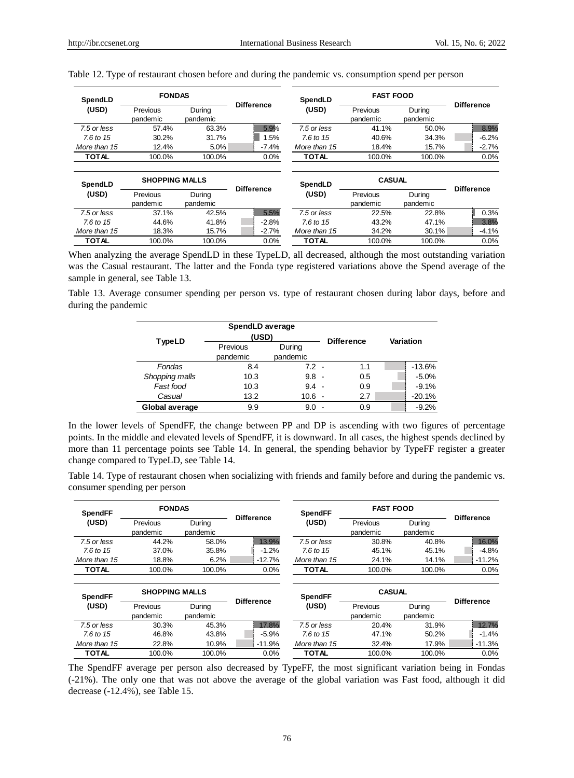| SpendLD              | <b>FONDAS</b>         |                    |                   | SpendLD              | <b>FAST FOOD</b>     |                    |                   |                   |
|----------------------|-----------------------|--------------------|-------------------|----------------------|----------------------|--------------------|-------------------|-------------------|
| (USD)                | Previous<br>pandemic  | During<br>pandemic | <b>Difference</b> | (USD)                | Previous<br>pandemic | During<br>pandemic | <b>Difference</b> |                   |
| 7.5 or less          | 57.4%                 | 63.3%              | 5.9%              | 7.5 or less          | 41.1%                | 50.0%              | 8.9%              |                   |
| $7.6 \text{ to } 15$ | 30.2%                 | 31.7%              | 1.5%              | $7.6 \text{ to } 15$ | 40.6%                | 34.3%              | $-6.2%$           |                   |
| More than 15         | 12.4%                 | 5.0%               | $-7.4%$           | More than 15         | 18.4%                | 15.7%              | $-2.7%$           |                   |
| <b>TOTAL</b>         | 100.0%                | 100.0%             | $0.0\%$           | <b>TOTAL</b>         | 100.0%               | 100.0%             | $0.0\%$           |                   |
| SpendLD              | <b>SHOPPING MALLS</b> |                    |                   |                      | SpendLD              | <b>CASUAL</b>      |                   | <b>Difference</b> |
| (USD)                | Previous              | During             | <b>Difference</b> | (USD)                | Previous             | During             |                   |                   |
|                      | pandemic              | pandemic           |                   |                      | pandemic             | pandemic           |                   |                   |
| 7.5 or less          | 37.1%                 | 42.5%              | 5.5%              | 7.5 or less          | 22.5%                | 22.8%              | 0.3%              |                   |
| 7.6 to 15            | 44.6%                 | 41.8%              | $-2.8%$           | $7.6$ to $15$        | 43.2%                | 47.1%              | 3.8%              |                   |
| More than 15         | 18.3%                 | 15.7%              | $-2.7%$           | More than 15         | 34.2%                | 30.1%              | $-4.1%$           |                   |
| <b>TOTAL</b>         | 100.0%                | 100.0%             | 0.0%              | <b>TOTAL</b>         | 100.0%               | 100.0%             | 0.0%              |                   |

Table 12. Type of restaurant chosen before and during the pandemic vs. consumption spend per person

When analyzing the average SpendLD in these TypeLD, all decreased, although the most outstanding variation was the Casual restaurant. The latter and the Fonda type registered variations above the Spend average of the sample in general, see Table 13.

Table 13. Average consumer spending per person vs. type of restaurant chosen during labor days, before and during the pandemic

| <b>TypeLD</b>  | SpendLD average<br>(USD) |                    |  | <b>Difference</b> |           |          |
|----------------|--------------------------|--------------------|--|-------------------|-----------|----------|
|                | Previous<br>pandemic     | During<br>pandemic |  |                   | Variation |          |
| Fondas         | 8.4                      | $7.2 -$            |  | 1.1               |           | $-13.6%$ |
| Shopping malls | 10.3                     | $9.8 -$            |  | 0.5               |           | $-5.0%$  |
| Fast food      | 10.3                     | $9.4 -$            |  | 0.9               |           | $-9.1%$  |
| Casual         | 13.2                     | $10.6 -$           |  | 2.7               |           | $-20.1%$ |
| Global average | 9.9                      | 9.0                |  | 0.9               |           | $-9.2%$  |

In the lower levels of SpendFF, the change between PP and DP is ascending with two figures of percentage points. In the middle and elevated levels of SpendFF, it is downward. In all cases, the highest spends declined by more than 11 percentage points see Table 14. In general, the spending behavior by TypeFF register a greater change compared to TypeLD, see Table 14.

Table 14. Type of restaurant chosen when socializing with friends and family before and during the pandemic vs. consumer spending per person

| <b>SpendFF</b> | <b>FONDAS</b>        |                       | <b>Difference</b> | <b>SpendFF</b>       | <b>FAST FOOD</b>     |                    | <b>Difference</b> |
|----------------|----------------------|-----------------------|-------------------|----------------------|----------------------|--------------------|-------------------|
| (USD)          | Previous<br>pandemic | Durina<br>pandemic    |                   | (USD)                | Previous<br>pandemic | During<br>pandemic |                   |
| 7.5 or less    | 44.2%                | 58.0%                 | 13.9%             | 7.5 or less          | 30.8%                | 40.8%              | 16.0%             |
| 7.6 to $15$    | 37.0%                | 35.8%                 | $-1.2%$           | $7.6 \text{ to } 15$ | 45.1%                | 45.1%              | $-4.8%$           |
| More than 15   | 18.8%                | 6.2%                  | $-12.7%$          | More than 15         | 24.1%                | 14.1%              | $-11.2%$          |
| <b>TOTAL</b>   | 100.0%               | 100.0%                | 0.0%              | <b>TOTAL</b>         | 100.0%               | 100.0%             | 0.0%              |
| <b>SpendFF</b> |                      | <b>SHOPPING MALLS</b> |                   | <b>SpendFF</b>       | <b>CASUAL</b>        |                    |                   |
| (USD)          | Previous<br>pandemic | During<br>pandemic    | <b>Difference</b> | (USD)                | Previous<br>pandemic | During<br>pandemic | <b>Difference</b> |
| 7.5 or less    | 30.3%                | 45.3%                 | 17.8%             | 7.5 or less          | 20.4%                | 31.9%              | 12.7%             |
| 7.6 to $15$    | 46.8%                | 43.8%                 | $-5.9%$           | 7.6 to $15$          | 47.1%                | 50.2%              | $-1.4%$           |
| More than 15   | 22.8%                | 10.9%                 | $-11.9%$          | More than 15         | 32.4%                | 17.9%              | $-11.3%$          |
| TOTAL          | 100.0%               | 100.0%                | $0.0\%$           | TOTAL                | 100.0%               | 100.0%             | 0.0%              |

The SpendFF average per person also decreased by TypeFF, the most significant variation being in Fondas (-21%). The only one that was not above the average of the global variation was Fast food, although it did decrease (-12.4%), see Table 15.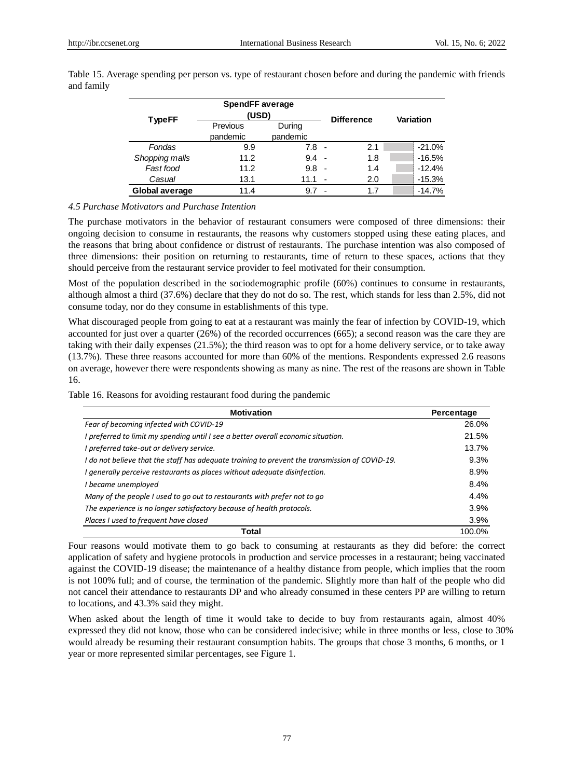|                | <b>SpendFF average</b><br>(USD) |                    |        |                   |           |  |
|----------------|---------------------------------|--------------------|--------|-------------------|-----------|--|
| <b>TypeFF</b>  | Previous<br>pandemic            | During<br>pandemic |        | <b>Difference</b> | Variation |  |
| Fondas         | 9.9                             | 7.8                | - -    | 2.1               | $-21.0%$  |  |
| Shopping malls | 11.2                            | 9.4                | $\sim$ | 1.8               | $-16.5%$  |  |
| Fast food      | 11.2                            | 9.8                | . .    | 1.4               | $-12.4%$  |  |
| Casual         | 13.1                            | 11.1               |        | 2.0               | $-15.3%$  |  |
| Global average | 11.4                            |                    |        | 1.7               | $-14.7%$  |  |

Table 15. Average spending per person vs. type of restaurant chosen before and during the pandemic with friends and family

# *4.5 Purchase Motivators and Purchase Intention*

The purchase motivators in the behavior of restaurant consumers were composed of three dimensions: their ongoing decision to consume in restaurants, the reasons why customers stopped using these eating places, and the reasons that bring about confidence or distrust of restaurants. The purchase intention was also composed of three dimensions: their position on returning to restaurants, time of return to these spaces, actions that they should perceive from the restaurant service provider to feel motivated for their consumption.

Most of the population described in the sociodemographic profile (60%) continues to consume in restaurants, although almost a third (37.6%) declare that they do not do so. The rest, which stands for less than 2.5%, did not consume today, nor do they consume in establishments of this type.

What discouraged people from going to eat at a restaurant was mainly the fear of infection by COVID-19, which accounted for just over a quarter (26%) of the recorded occurrences (665); a second reason was the care they are taking with their daily expenses (21.5%); the third reason was to opt for a home delivery service, or to take away (13.7%). These three reasons accounted for more than 60% of the mentions. Respondents expressed 2.6 reasons on average, however there were respondents showing as many as nine. The rest of the reasons are shown in Table 16.

Table 16. Reasons for avoiding restaurant food during the pandemic

| <b>Motivation</b>                                                                              | Percentage |
|------------------------------------------------------------------------------------------------|------------|
| Fear of becoming infected with COVID-19                                                        | 26.0%      |
| I preferred to limit my spending until I see a better overall economic situation.              | 21.5%      |
| I preferred take-out or delivery service.                                                      | 13.7%      |
| I do not believe that the staff has adequate training to prevent the transmission of COVID-19. | 9.3%       |
| I generally perceive restaurants as places without adequate disinfection.                      | 8.9%       |
| I became unemployed                                                                            | 8.4%       |
| Many of the people I used to go out to restaurants with prefer not to go                       | 4.4%       |
| The experience is no longer satisfactory because of health protocols.                          | 3.9%       |
| Places I used to frequent have closed                                                          | 3.9%       |
| Total                                                                                          | 100.0%     |

Four reasons would motivate them to go back to consuming at restaurants as they did before: the correct application of safety and hygiene protocols in production and service processes in a restaurant; being vaccinated against the COVID-19 disease; the maintenance of a healthy distance from people, which implies that the room is not 100% full; and of course, the termination of the pandemic. Slightly more than half of the people who did not cancel their attendance to restaurants DP and who already consumed in these centers PP are willing to return to locations, and 43.3% said they might.

When asked about the length of time it would take to decide to buy from restaurants again, almost 40% expressed they did not know, those who can be considered indecisive; while in three months or less, close to 30% would already be resuming their restaurant consumption habits. The groups that chose 3 months, 6 months, or 1 year or more represented similar percentages, see Figure 1.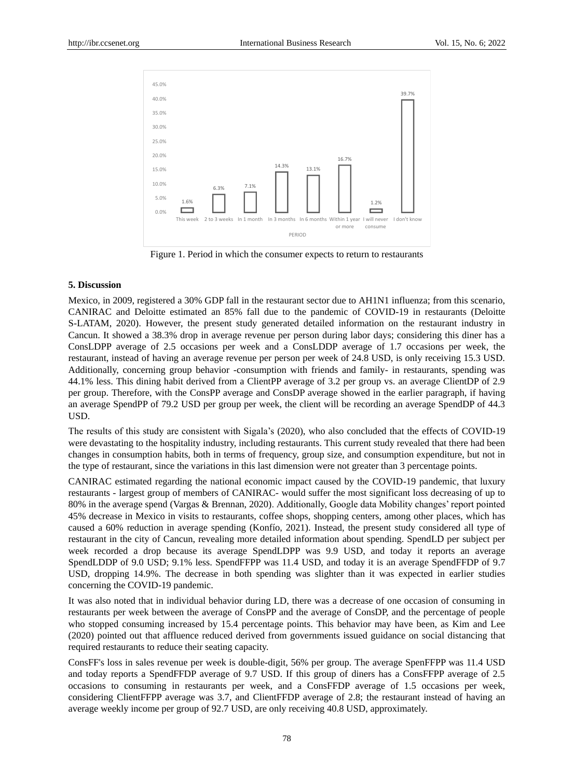

Figure 1. Period in which the consumer expects to return to restaurants

# **5. Discussion**

Mexico, in 2009, registered a 30% GDP fall in the restaurant sector due to AH1N1 influenza; from this scenario, CANIRAC and Deloitte estimated an 85% fall due to the pandemic of COVID-19 in restaurants (Deloitte S-LATAM, 2020). However, the present study generated detailed information on the restaurant industry in Cancun. It showed a 38.3% drop in average revenue per person during labor days; considering this diner has a ConsLDPP average of 2.5 occasions per week and a ConsLDDP average of 1.7 occasions per week, the restaurant, instead of having an average revenue per person per week of 24.8 USD, is only receiving 15.3 USD. Additionally, concerning group behavior -consumption with friends and family- in restaurants, spending was 44.1% less. This dining habit derived from a ClientPP average of 3.2 per group vs. an average ClientDP of 2.9 per group. Therefore, with the ConsPP average and ConsDP average showed in the earlier paragraph, if having an average SpendPP of 79.2 USD per group per week, the client will be recording an average SpendDP of 44.3 USD.

The results of this study are consistent with Sigala's (2020), who also concluded that the effects of COVID-19 were devastating to the hospitality industry, including restaurants. This current study revealed that there had been changes in consumption habits, both in terms of frequency, group size, and consumption expenditure, but not in the type of restaurant, since the variations in this last dimension were not greater than 3 percentage points.

CANIRAC estimated regarding the national economic impact caused by the COVID-19 pandemic, that luxury restaurants - largest group of members of CANIRAC- would suffer the most significant loss decreasing of up to 80% in the average spend (Vargas & Brennan, 2020). Additionally, Google data Mobility changes' report pointed 45% decrease in Mexico in visits to restaurants, coffee shops, shopping centers, among other places, which has caused a 60% reduction in average spending (Konf 6, 2021). Instead, the present study considered all type of restaurant in the city of Cancun, revealing more detailed information about spending. SpendLD per subject per week recorded a drop because its average SpendLDPP was 9.9 USD, and today it reports an average SpendLDDP of 9.0 USD; 9.1% less. SpendFFPP was 11.4 USD, and today it is an average SpendFFDP of 9.7 USD, dropping 14.9%. The decrease in both spending was slighter than it was expected in earlier studies concerning the COVID-19 pandemic.

It was also noted that in individual behavior during LD, there was a decrease of one occasion of consuming in restaurants per week between the average of ConsPP and the average of ConsDP, and the percentage of people who stopped consuming increased by 15.4 percentage points. This behavior may have been, as Kim and Lee (2020) pointed out that affluence reduced derived from governments issued guidance on social distancing that required restaurants to reduce their seating capacity.

ConsFF's loss in sales revenue per week is double-digit, 56% per group. The average SpenFFPP was 11.4 USD and today reports a SpendFFDP average of 9.7 USD. If this group of diners has a ConsFFPP average of 2.5 occasions to consuming in restaurants per week, and a ConsFFDP average of 1.5 occasions per week, considering ClientFFPP average was 3.7, and ClientFFDP average of 2.8; the restaurant instead of having an average weekly income per group of 92.7 USD, are only receiving 40.8 USD, approximately.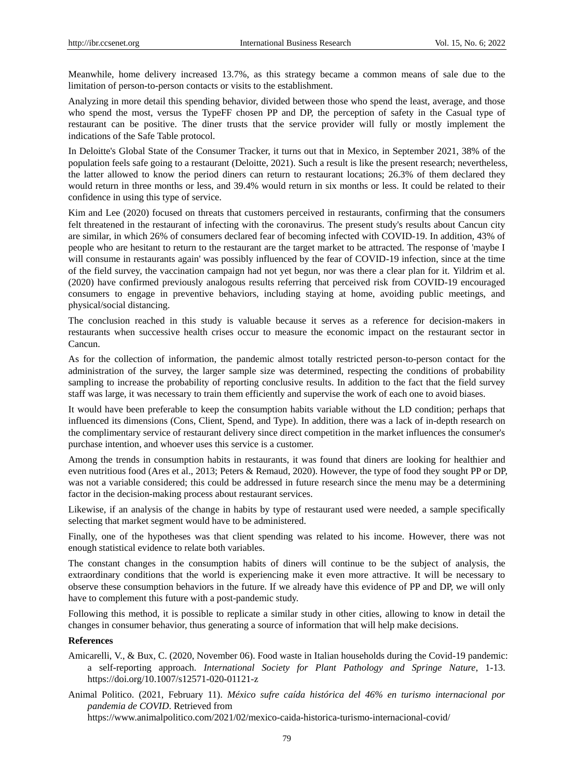Meanwhile, home delivery increased 13.7%, as this strategy became a common means of sale due to the limitation of person-to-person contacts or visits to the establishment.

Analyzing in more detail this spending behavior, divided between those who spend the least, average, and those who spend the most, versus the TypeFF chosen PP and DP, the perception of safety in the Casual type of restaurant can be positive. The diner trusts that the service provider will fully or mostly implement the indications of the Safe Table protocol.

In Deloitte's Global State of the Consumer Tracker, it turns out that in Mexico, in September 2021, 38% of the population feels safe going to a restaurant (Deloitte, 2021). Such a result is like the present research; nevertheless, the latter allowed to know the period diners can return to restaurant locations; 26.3% of them declared they would return in three months or less, and 39.4% would return in six months or less. It could be related to their confidence in using this type of service.

Kim and Lee (2020) focused on threats that customers perceived in restaurants, confirming that the consumers felt threatened in the restaurant of infecting with the coronavirus. The present study's results about Cancun city are similar, in which 26% of consumers declared fear of becoming infected with COVID-19. In addition, 43% of people who are hesitant to return to the restaurant are the target market to be attracted. The response of 'maybe I will consume in restaurants again' was possibly influenced by the fear of COVID-19 infection, since at the time of the field survey, the vaccination campaign had not yet begun, nor was there a clear plan for it. Yildrim et al. (2020) have confirmed previously analogous results referring that perceived risk from COVID-19 encouraged consumers to engage in preventive behaviors, including staying at home, avoiding public meetings, and physical/social distancing.

The conclusion reached in this study is valuable because it serves as a reference for decision-makers in restaurants when successive health crises occur to measure the economic impact on the restaurant sector in Cancun.

As for the collection of information, the pandemic almost totally restricted person-to-person contact for the administration of the survey, the larger sample size was determined, respecting the conditions of probability sampling to increase the probability of reporting conclusive results. In addition to the fact that the field survey staff was large, it was necessary to train them efficiently and supervise the work of each one to avoid biases.

It would have been preferable to keep the consumption habits variable without the LD condition; perhaps that influenced its dimensions (Cons, Client, Spend, and Type). In addition, there was a lack of in-depth research on the complimentary service of restaurant delivery since direct competition in the market influences the consumer's purchase intention, and whoever uses this service is a customer.

Among the trends in consumption habits in restaurants, it was found that diners are looking for healthier and even nutritious food (Ares et al., 2013; Peters & Remaud, 2020). However, the type of food they sought PP or DP, was not a variable considered; this could be addressed in future research since the menu may be a determining factor in the decision-making process about restaurant services.

Likewise, if an analysis of the change in habits by type of restaurant used were needed, a sample specifically selecting that market segment would have to be administered.

Finally, one of the hypotheses was that client spending was related to his income. However, there was not enough statistical evidence to relate both variables.

The constant changes in the consumption habits of diners will continue to be the subject of analysis, the extraordinary conditions that the world is experiencing make it even more attractive. It will be necessary to observe these consumption behaviors in the future. If we already have this evidence of PP and DP, we will only have to complement this future with a post-pandemic study.

Following this method, it is possible to replicate a similar study in other cities, allowing to know in detail the changes in consumer behavior, thus generating a source of information that will help make decisions.

# **References**

- Amicarelli, V., & Bux, C. (2020, November 06). Food waste in Italian households during the Covid-19 pandemic: a self-reporting approach. *International Society for Plant Pathology and Springe Nature*, 1-13. https://doi.org/10.1007/s12571-020-01121-z
- Animal Politico. (2021, February 11). *México sufre caída histórica del 46% en turismo internacional por pandemia de COVID*. Retrieved from

https://www.animalpolitico.com/2021/02/mexico-caida-historica-turismo-internacional-covid/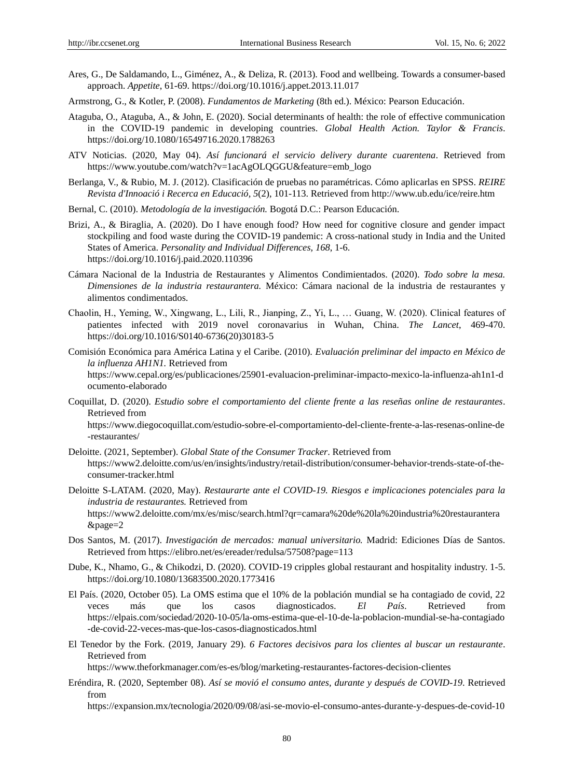- Ares, G., De Saldamando, L., Giménez, A., & Deliza, R. (2013). Food and wellbeing. Towards a consumer-based approach. *Appetite*, 61-69. https://doi.org/10.1016/j.appet.2013.11.017
- Armstrong, G., & Kotler, P. (2008). *Fundamentos de Marketing* (8th ed.). México: Pearson Educación.
- Ataguba, O., Ataguba, A., & John, E. (2020). Social determinants of health: the role of effective communication in the COVID-19 pandemic in developing countries. *Global Health Action. Taylor & Francis*. https://doi.org/10.1080/16549716.2020.1788263
- ATV Noticias. (2020, May 04). *Así funcionará el servicio delivery durante cuarentena*. Retrieved from https://www.youtube.com/watch?v=1acAgOLQGGU&feature=emb\_logo
- Berlanga, V., & Rubio, M. J. (2012). Clasificación de pruebas no paramétricas. Cómo aplicarlas en SPSS. *REIRE Revista d'Innoació i Recerca en Educació, 5*(2), 101-113. Retrieved from http://www.ub.edu/ice/reire.htm
- Bernal, C. (2010). *Metodología de la investigación.* Bogotá D.C.: Pearson Educación.
- Brizi, A., & Biraglia, A. (2020). Do I have enough food? How need for cognitive closure and gender impact stockpiling and food waste during the COVID-19 pandemic: A cross-national study in India and the United States of America. *Personality and Individual Differences, 168*, 1-6. https://doi.org/10.1016/j.paid.2020.110396
- Cámara Nacional de la Industria de Restaurantes y Alimentos Condimientados. (2020). *Todo sobre la mesa. Dimensiones de la industria restaurantera.* México: Cámara nacional de la industria de restaurantes y alimentos condimentados.
- Chaolin, H., Yeming, W., Xingwang, L., Lili, R., Jianping, Z., Yi, L., … Guang, W. (2020). Clinical features of patientes infected with 2019 novel coronavarius in Wuhan, China. *The Lancet*, 469-470. https://doi.org/10.1016/S0140-6736(20)30183-5
- Comisión Económica para América Latina y el Caribe. (2010). *Evaluación preliminar del impacto en México de la influenza AH1N1.* Retrieved from https://www.cepal.org/es/publicaciones/25901-evaluacion-preliminar-impacto-mexico-la-influenza-ah1n1-d ocumento-elaborado
- Coquillat, D. (2020). *Estudio sobre el comportamiento del cliente frente a las reseñas online de restaurantes*. Retrieved from https://www.diegocoquillat.com/estudio-sobre-el-comportamiento-del-cliente-frente-a-las-resenas-online-de -restaurantes/
- Deloitte. (2021, September). *Global State of the Consumer Tracker*. Retrieved from https://www2.deloitte.com/us/en/insights/industry/retail-distribution/consumer-behavior-trends-state-of-theconsumer-tracker.html
- Deloitte S-LATAM. (2020, May). *Restaurarte ante el COVID-19. Riesgos e implicaciones potenciales para la industria de restaurantes.* Retrieved from https://www2.deloitte.com/mx/es/misc/search.html?qr=camara%20de%20la%20industria%20restaurantera &page=2
- Dos Santos, M. (2017). *Investigación de mercados: manual universitario.* Madrid: Ediciones Días de Santos. Retrieved from https://elibro.net/es/ereader/redulsa/57508?page=113
- Dube, K., Nhamo, G., & Chikodzi, D. (2020). COVID-19 cripples global restaurant and hospitality industry. 1-5. https://doi.org/10.1080/13683500.2020.1773416
- El País. (2020, October 05). La OMS estima que el 10% de la población mundial se ha contagiado de covid, 22 veces más que los casos diagnosticados. *El País*. Retrieved from https://elpais.com/sociedad/2020-10-05/la-oms-estima-que-el-10-de-la-poblacion-mundial-se-ha-contagiado -de-covid-22-veces-mas-que-los-casos-diagnosticados.html
- El Tenedor by the Fork. (2019, January 29). *6 Factores decisivos para los clientes al buscar un restaurante*. Retrieved from

https://www.theforkmanager.com/es-es/blog/marketing-restaurantes-factores-decision-clientes

Eréndira, R. (2020, September 08). *Así se movió el consumo antes, durante y después de COVID-19*. Retrieved from

https://expansion.mx/tecnologia/2020/09/08/asi-se-movio-el-consumo-antes-durante-y-despues-de-covid-10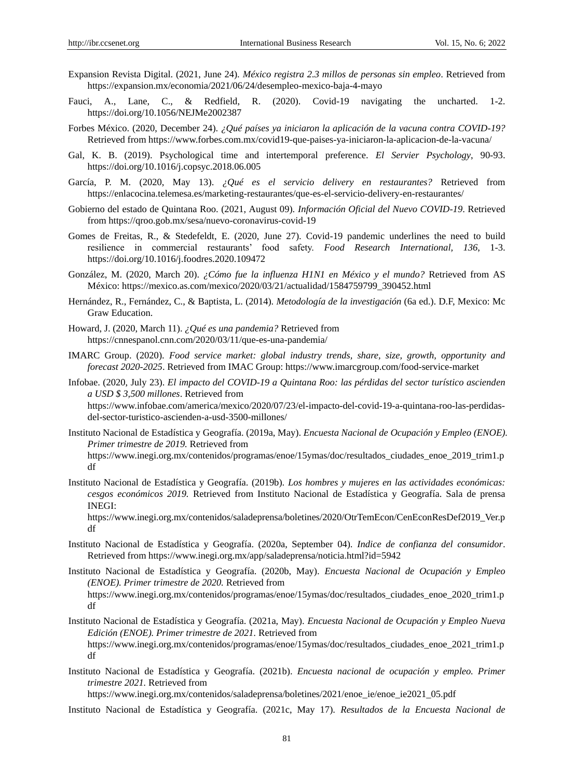- Expansion Revista Digital. (2021, June 24). *México registra 2.3 millos de personas sin empleo*. Retrieved from https://expansion.mx/economia/2021/06/24/desempleo-mexico-baja-4-mayo
- Fauci, A., Lane, C., & Redfield, R. (2020). Covid-19 navigating the uncharted. 1-2. https://doi.org/10.1056/NEJMe2002387
- Forbes México. (2020, December 24). *¿Qué países ya iniciaron la aplicación de la vacuna contra COVID-19?* Retrieved from https://www.forbes.com.mx/covid19-que-paises-ya-iniciaron-la-aplicacion-de-la-vacuna/
- Gal, K. B. (2019). Psychological time and intertemporal preference. *El Servier Psychology*, 90-93. https://doi.org/10.1016/j.copsyc.2018.06.005
- García, P. M. (2020, May 13). *¿Qué es el servicio delivery en restaurantes?* Retrieved from https://enlacocina.telemesa.es/marketing-restaurantes/que-es-el-servicio-delivery-en-restaurantes/
- Gobierno del estado de Quintana Roo. (2021, August 09). *Información Oficial del Nuevo COVID-19*. Retrieved from https://qroo.gob.mx/sesa/nuevo-coronavirus-covid-19
- Gomes de Freitas, R., & Stedefeldt, E. (2020, June 27). Covid-19 pandemic underlines the need to build resilience in commercial restaurants' food safety. *Food Research International, 136*, 1-3. https://doi.org/10.1016/j.foodres.2020.109472
- González, M. (2020, March 20). *¿Cómo fue la influenza H1N1 en México y el mundo?* Retrieved from AS México: https://mexico.as.com/mexico/2020/03/21/actualidad/1584759799\_390452.html
- Hernández, R., Fernández, C., & Baptista, L. (2014). *Metodología de la investigación* (6a ed.). D.F, Mexico: Mc Graw Education.
- Howard, J. (2020, March 11). *¿Qué es una pandemia?* Retrieved from https://cnnespanol.cnn.com/2020/03/11/que-es-una-pandemia/
- IMARC Group. (2020). *Food service market: global industry trends, share, size, growth, opportunity and forecast 2020-2025*. Retrieved from IMAC Group: https://www.imarcgroup.com/food-service-market
- Infobae. (2020, July 23). *El impacto del COVID-19 a Quintana Roo: las pérdidas del sector turístico ascienden a USD \$ 3,500 millones*. Retrieved from https://www.infobae.com/america/mexico/2020/07/23/el-impacto-del-covid-19-a-quintana-roo-las-perdidasdel-sector-turistico-ascienden-a-usd-3500-millones/
- Instituto Nacional de Estadística y Geografía. (2019a, May). *Encuesta Nacional de Ocupación y Empleo (ENOE). Primer trimestre de 2019.* Retrieved from https://www.inegi.org.mx/contenidos/programas/enoe/15ymas/doc/resultados ciudades enoe 2019 trim1.p df
- Instituto Nacional de Estadística y Geografía. (2019b). *Los hombres y mujeres en las actividades económicas: cesgos económicos 2019.* Retrieved from Instituto Nacional de Estadística y Geografía. Sala de prensa INEGI:

https://www.inegi.org.mx/contenidos/saladeprensa/boletines/2020/OtrTemEcon/CenEconResDef2019\_Ver.p df

- Instituto Nacional de Estadística y Geografía. (2020a, September 04). *Indice de confianza del consumidor*. Retrieved from https://www.inegi.org.mx/app/saladeprensa/noticia.html?id=5942
- Instituto Nacional de Estadística y Geografía. (2020b, May). *Encuesta Nacional de Ocupación y Empleo (ENOE). Primer trimestre de 2020.* Retrieved from https://www.inegi.org.mx/contenidos/programas/enoe/15ymas/doc/resultados\_ciudades\_enoe\_2020\_trim1.p df
- Instituto Nacional de Estadística y Geografía. (2021a, May). *Encuesta Nacional de Ocupación y Empleo Nueva Edición (ENOE). Primer trimestre de 2021.* Retrieved from https://www.inegi.org.mx/contenidos/programas/enoe/15ymas/doc/resultados\_ciudades\_enoe\_2021\_trim1.p df
- Instituto Nacional de Estadística y Geografía. (2021b). *Encuesta nacional de ocupación y empleo. Primer trimestre 2021.* Retrieved from

https://www.inegi.org.mx/contenidos/saladeprensa/boletines/2021/enoe\_ie/enoe\_ie2021\_05.pdf

Instituto Nacional de Estadística y Geografía. (2021c, May 17). *Resultados de la Encuesta Nacional de*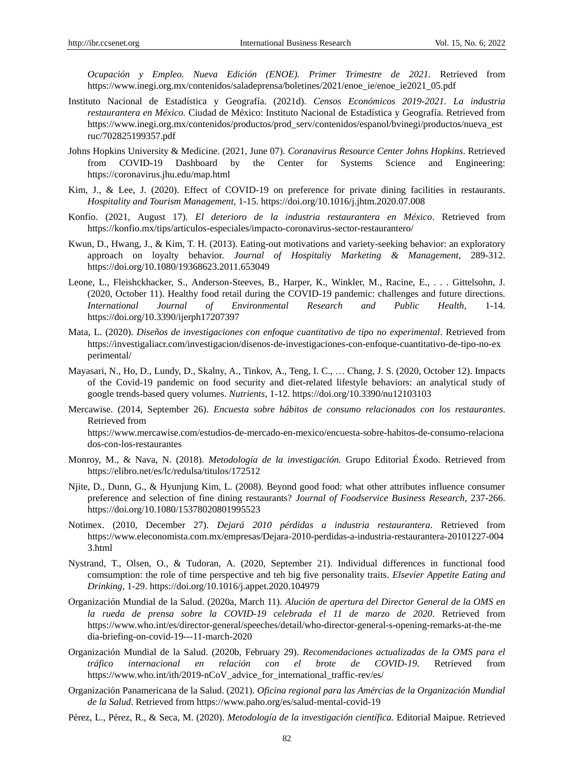*Ocupación y Empleo. Nueva Edición (ENOE). Primer Trimestre de 2021.* Retrieved from https://www.inegi.org.mx/contenidos/saladeprensa/boletines/2021/enoe\_ie/enoe\_ie2021\_05.pdf

- Instituto Nacional de Estadística y Geografía. (2021d). *Censos Económicos 2019-2021. La industria*  restaurantera en México. Ciudad de México: Instituto Nacional de Estadística y Geografía. Retrieved from https://www.inegi.org.mx/contenidos/productos/prod\_serv/contenidos/espanol/bvinegi/productos/nueva\_est ruc/702825199357.pdf
- Johns Hopkins University & Medicine. (2021, June 07). *Coranavirus Resource Center Johns Hopkins*. Retrieved from COVID-19 Dashboard by the Center for Systems Science and Engineering: https://coronavirus.jhu.edu/map.html
- Kim, J., & Lee, J. (2020). Effect of COVID-19 on preference for private dining facilities in restaurants. *Hospitality and Tourism Management*, 1-15. https://doi.org/10.1016/j.jhtm.2020.07.008
- Konfío. (2021, August 17). *El deterioro de la industria restaurantera en México*. Retrieved from https://konfio.mx/tips/articulos-especiales/impacto-coronavirus-sector-restaurantero/
- Kwun, D., Hwang, J., & Kim, T. H. (2013). Eating-out motivations and variety-seeking behavior: an exploratory approach on loyalty behavior. *Journal of Hospitaliy Marketing & Management*, 289-312. https://doi.org/10.1080/19368623.2011.653049
- Leone, L., Fleishckhacker, S., Anderson-Steeves, B., Harper, K., Winkler, M., Racine, E., . . . Gittelsohn, J. (2020, October 11). Healthy food retail during the COVID-19 pandemic: challenges and future directions. *International Journal of Environmental Research and Public Health*, 1-14. https://doi.org/10.3390/ijerph17207397
- Mata, L. (2020). *Diseños de investigaciones con enfoque cuantitativo de tipo no experimental*. Retrieved from https://investigaliacr.com/investigacion/disenos-de-investigaciones-con-enfoque-cuantitativo-de-tipo-no-ex perimental/
- Mayasari, N., Ho, D., Lundy, D., Skalny, A., Tinkov, A., Teng, I. C., … Chang, J. S. (2020, October 12). Impacts of the Covid-19 pandemic on food security and diet-related lifestyle behaviors: an analytical study of google trends-based query volumes. *Nutrients*, 1-12. https://doi.org/10.3390/nu12103103
- Mercawise. (2014, September 26). *Encuesta sobre hábitos de consumo relacionados con los restaurantes*. Retrieved from https://www.mercawise.com/estudios-de-mercado-en-mexico/encuesta-sobre-habitos-de-consumo-relaciona dos-con-los-restaurantes
- Monroy, M., & Nava, N. (2018). *Metodología de la investigación.* Grupo Editorial Éxodo. Retrieved from https://elibro.net/es/lc/redulsa/titulos/172512
- Njite, D., Dunn, G., & Hyunjung Kim, L. (2008). Beyond good food: what other attributes influence consumer preference and selection of fine dining restaurants? *Journal of Foodservice Business Research*, 237-266. https://doi.org/10.1080/15378020801995523
- Notimex. (2010, December 27). *Dejará 2010 pérdidas a industria restaurantera*. Retrieved from https://www.eleconomista.com.mx/empresas/Dejara-2010-perdidas-a-industria-restaurantera-20101227-004 3.html
- Nystrand, T., Olsen, O., & Tudoran, A. (2020, September 21). Individual differences in functional food comsumption: the role of time perspective and teh big five personality traits. *Elsevier Appetite Eating and Drinking*, 1-29. https://doi.org/10.1016/j.appet.2020.104979
- Organización Mundial de la Salud. (2020a, March 11). *Alución de apertura del Director General de la OMS en la rueda de prensa sobre la COVID-19 celebrada el 11 de marzo de 2020*. Retrieved from https://www.who.int/es/director-general/speeches/detail/who-director-general-s-opening-remarks-at-the-me dia-briefing-on-covid-19---11-march-2020
- Organización Mundial de la Salud. (2020b, February 29). *Recomendaciones actualizadas de la OMS para el tráfico internacional en relación con el brote de COVID-19*. Retrieved from https://www.who.int/ith/2019-nCoV\_advice\_for\_international\_traffic-rev/es/
- Organización Panamericana de la Salud. (2021). *Oficina regional para las Amércias de la Organización Mundial de la Salud*. Retrieved from https://www.paho.org/es/salud-mental-covid-19
- Pérez, L., Pérez, R., & Seca, M. (2020). *Metodología de la investigación científica.* Editorial Maipue. Retrieved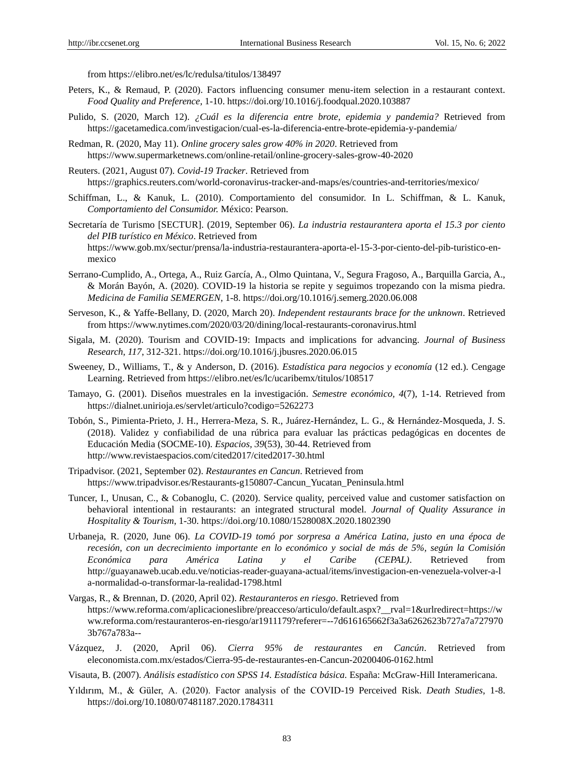from https://elibro.net/es/lc/redulsa/titulos/138497

- Peters, K., & Remaud, P. (2020). Factors influencing consumer menu-item selection in a restaurant context. *Food Quality and Preference*, 1-10. https://doi.org/10.1016/j.foodqual.2020.103887
- Pulido, S. (2020, March 12). *¿Cuál es la diferencia entre brote, epidemia y pandemia?* Retrieved from https://gacetamedica.com/investigacion/cual-es-la-diferencia-entre-brote-epidemia-y-pandemia/
- Redman, R. (2020, May 11). *Online grocery sales grow 40% in 2020*. Retrieved from https://www.supermarketnews.com/online-retail/online-grocery-sales-grow-40-2020
- Reuters. (2021, August 07). *Covid-19 Tracker*. Retrieved from https://graphics.reuters.com/world-coronavirus-tracker-and-maps/es/countries-and-territories/mexico/
- Schiffman, L., & Kanuk, L. (2010). Comportamiento del consumidor. In L. Schiffman, & L. Kanuk, *Comportamiento del Consumidor.* México: Pearson.
- Secretaría de Turismo [SECTUR]. (2019, September 06). *La industria restaurantera aporta el 15.3 por ciento*  del PIB tur ístico en México. Retrieved from https://www.gob.mx/sectur/prensa/la-industria-restaurantera-aporta-el-15-3-por-ciento-del-pib-turistico-enmexico
- Serrano-Cumplido, A., Ortega, A., Ruiz García, A., Olmo Quintana, V., Segura Fragoso, A., Barquilla Garcia, A., & Morán Bayón, A. (2020). COVID-19 la historia se repite y seguimos tropezando con la misma piedra. *Medicina de Familia SEMERGEN*, 1-8. https://doi.org/10.1016/j.semerg.2020.06.008
- Serveson, K., & Yaffe-Bellany, D. (2020, March 20). *Independent restaurants brace for the unknown*. Retrieved from https://www.nytimes.com/2020/03/20/dining/local-restaurants-coronavirus.html
- Sigala, M. (2020). Tourism and COVID-19: Impacts and implications for advancing. *Journal of Business Research, 117*, 312-321. https://doi.org/10.1016/j.jbusres.2020.06.015
- Sweeney, D., Williams, T., & y Anderson, D. (2016). *Estadística para negocios y economía* (12 ed.). Cengage Learning. Retrieved from https://elibro.net/es/lc/ucaribemx/titulos/108517
- Tamayo, G. (2001). Diseños muestrales en la investigación. *Semestre económico, 4*(7), 1-14. Retrieved from https://dialnet.unirioja.es/servlet/articulo?codigo=5262273
- Tobón, S., Pimienta-Prieto, J. H., Herrera-Meza, S. R., Juárez-Hernández, L. G., & Hernández-Mosqueda, J. S. (2018). Validez y confiabilidad de una rúbrica para evaluar las prácticas pedagógicas en docentes de Educación Media (SOCME-10). *Espacios, 39*(53), 30-44. Retrieved from http://www.revistaespacios.com/cited2017/cited2017-30.html
- Tripadvisor. (2021, September 02). *Restaurantes en Cancun*. Retrieved from https://www.tripadvisor.es/Restaurants-g150807-Cancun\_Yucatan\_Peninsula.html
- Tuncer, I., Unusan, C., & Cobanoglu, C. (2020). Service quality, perceived value and customer satisfaction on behavioral intentional in restaurants: an integrated structural model. *Journal of Quality Assurance in Hospitality & Tourism*, 1-30. https://doi.org/10.1080/1528008X.2020.1802390
- Urbaneja, R. (2020, June 06). *La COVID-19 tomó por sorpresa a América Latina, justo en una época de recesión, con un decrecimiento importante en lo económico y social de más de 5%, según la Comisión Económica para América Latina y el Caribe (CEPAL)*. Retrieved from http://guayanaweb.ucab.edu.ve/noticias-reader-guayana-actual/items/investigacion-en-venezuela-volver-a-l a-normalidad-o-transformar-la-realidad-1798.html
- Vargas, R., & Brennan, D. (2020, April 02). *Restauranteros en riesgo*. Retrieved from https://www.reforma.com/aplicacioneslibre/preacceso/articulo/default.aspx?\_\_rval=1&urlredirect=https://w ww.reforma.com/restauranteros-en-riesgo/ar1911179?referer=--7d616165662f3a3a6262623b727a7a727970 3b767a783a--
- Vázquez, J. (2020, April 06). *Cierra 95% de restaurantes en Cancún*. Retrieved from eleconomista.com.mx/estados/Cierra-95-de-restaurantes-en-Cancun-20200406-0162.html
- Visauta, B. (2007). *Análisis estadístico con SPSS 14. Estadística básica.* España: McGraw-Hill Interamericana.
- Yıldırım, M., & Güler, A. (2020). Factor analysis of the COVID-19 Perceived Risk. *Death Studies*, 1-8. https://doi.org/10.1080/07481187.2020.1784311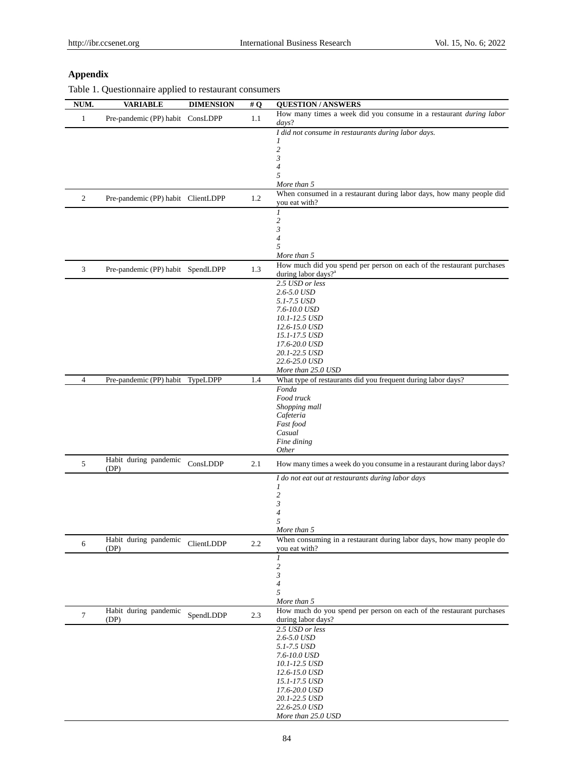# **Appendix**

Table 1. Questionnaire applied to restaurant consumers

| NUM.           | <b>VARIABLE</b>                    | <b>DIMENSION</b> | # $Q$ | <b>QUESTION/ANSWERS</b>                                                                                  |
|----------------|------------------------------------|------------------|-------|----------------------------------------------------------------------------------------------------------|
| $\mathbf{1}$   | Pre-pandemic (PP) habit ConsLDPP   |                  | 1.1   | How many times a week did you consume in a restaurant during labor<br>days?                              |
|                |                                    |                  |       | I did not consume in restaurants during labor days.                                                      |
|                |                                    |                  |       | 1<br>$\overline{c}$                                                                                      |
|                |                                    |                  |       | 3                                                                                                        |
|                |                                    |                  |       | 4                                                                                                        |
|                |                                    |                  |       | 5<br>More than 5                                                                                         |
| $\mathfrak{2}$ | Pre-pandemic (PP) habit ClientLDPP |                  | 1.2   | When consumed in a restaurant during labor days, how many people did<br>you eat with?                    |
|                |                                    |                  |       | 1                                                                                                        |
|                |                                    |                  |       | 2                                                                                                        |
|                |                                    |                  |       | $\mathfrak{z}$<br>4                                                                                      |
|                |                                    |                  |       | 5                                                                                                        |
|                |                                    |                  |       | More than 5                                                                                              |
| 3              | Pre-pandemic (PP) habit SpendLDPP  |                  | 1.3   | How much did you spend per person on each of the restaurant purchases<br>during labor days? <sup>a</sup> |
|                |                                    |                  |       | 2.5 USD or less<br>2.6-5.0 USD                                                                           |
|                |                                    |                  |       | 5.1-7.5 USD                                                                                              |
|                |                                    |                  |       | 7.6-10.0 USD                                                                                             |
|                |                                    |                  |       | 10.1-12.5 USD<br>12.6-15.0 USD                                                                           |
|                |                                    |                  |       | 15.1-17.5 USD                                                                                            |
|                |                                    |                  |       | 17.6-20.0 USD                                                                                            |
|                |                                    |                  |       | 20.1-22.5 USD<br>22.6-25.0 USD                                                                           |
|                |                                    |                  |       | More than 25.0 USD                                                                                       |
| $\overline{4}$ | Pre-pandemic (PP) habit TypeLDPP   |                  | 1.4   | What type of restaurants did you frequent during labor days?                                             |
|                |                                    |                  |       | Fonda<br>Food truck                                                                                      |
|                |                                    |                  |       | Shopping mall                                                                                            |
|                |                                    |                  |       | Cafeteria                                                                                                |
|                |                                    |                  |       | Fast food<br>Casual                                                                                      |
|                |                                    |                  |       | Fine dining                                                                                              |
|                |                                    |                  |       | <i>Other</i>                                                                                             |
| 5              | Habit during pandemic<br>(DP)      | ConsLDDP         | 2.1   | How many times a week do you consume in a restaurant during labor days?                                  |
|                |                                    |                  |       | I do not eat out at restaurants during labor days<br>1                                                   |
|                |                                    |                  |       | $\overline{\mathbf{c}}$                                                                                  |
|                |                                    |                  |       | 3                                                                                                        |
|                |                                    |                  |       | 4<br>5                                                                                                   |
|                |                                    |                  |       | More than 5                                                                                              |
| 6              | Habit during pandemic              | ClientLDDP       | 2.2   | When consuming in a restaurant during labor days, how many people do                                     |
|                | (DP)                               |                  |       | you eat with?<br>$\mathfrak{1}$                                                                          |
|                |                                    |                  |       | $\overline{\mathbf{c}}$                                                                                  |
|                |                                    |                  |       | 3                                                                                                        |
|                |                                    |                  |       | 4<br>5                                                                                                   |
|                |                                    |                  |       | More than 5                                                                                              |
| 7              | Habit during pandemic<br>(DP)      | SpendLDDP        | 2.3   | How much do you spend per person on each of the restaurant purchases<br>during labor days?               |
|                |                                    |                  |       | 2.5 USD or less                                                                                          |
|                |                                    |                  |       | 2.6-5.0 USD                                                                                              |
|                |                                    |                  |       | 5.1-7.5 USD<br>7.6-10.0 USD                                                                              |
|                |                                    |                  |       | 10.1-12.5 USD                                                                                            |
|                |                                    |                  |       | 12.6-15.0 USD                                                                                            |
|                |                                    |                  |       | 15.1-17.5 USD<br>17.6-20.0 USD                                                                           |
|                |                                    |                  |       | 20.1-22.5 USD                                                                                            |
|                |                                    |                  |       | 22.6-25.0 USD                                                                                            |
|                |                                    |                  |       | More than 25.0 USD                                                                                       |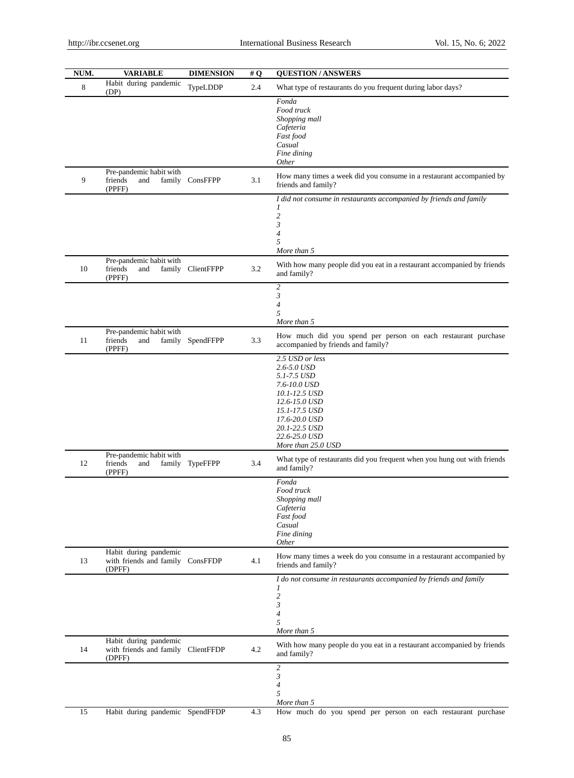| NUM. | <b>VARIABLE</b>                                                       | <b>DIMENSION</b>  | #Q  | <b>QUESTION/ANSWERS</b>                                                                                                                                                                   |
|------|-----------------------------------------------------------------------|-------------------|-----|-------------------------------------------------------------------------------------------------------------------------------------------------------------------------------------------|
| 8    | Habit during pandemic<br>(DP)                                         | TypeLDDP          | 2.4 | What type of restaurants do you frequent during labor days?                                                                                                                               |
|      |                                                                       |                   |     | Fonda<br>Food truck<br>Shopping mall<br>Cafeteria<br>Fast food<br>Casual<br>Fine dining<br>Other                                                                                          |
| 9    | Pre-pandemic habit with<br>friends<br>and<br>(PPFF)                   | family ConsFFPP   | 3.1 | How many times a week did you consume in a restaurant accompanied by<br>friends and family?                                                                                               |
|      |                                                                       |                   |     | I did not consume in restaurants accompanied by friends and family<br>1<br>$\overline{c}$<br>3<br>4<br>5<br>More than 5                                                                   |
| 10   | Pre-pandemic habit with<br>friends<br>and<br>(PPFF)                   | family ClientFFPP | 3.2 | With how many people did you eat in a restaurant accompanied by friends<br>and family?                                                                                                    |
|      |                                                                       |                   |     | $\overline{c}$<br>3<br>4<br>5<br>More than 5                                                                                                                                              |
| 11   | Pre-pandemic habit with<br>friends<br>and<br>family<br>(PPFF)         | SpendFFPP         | 3.3 | How much did you spend per person on each restaurant purchase<br>accompanied by friends and family?                                                                                       |
|      |                                                                       |                   |     | 2.5 USD or less<br>2.6-5.0 USD<br>5.1-7.5 USD<br>7.6-10.0 USD<br>10.1-12.5 USD<br>12.6-15.0 USD<br>15.1-17.5 USD<br>17.6-20.0 USD<br>20.1-22.5 USD<br>22.6-25.0 USD<br>More than 25.0 USD |
| 12   | Pre-pandemic habit with<br>friends<br>family<br>and<br>(PPFF)         | TypeFFPP          | 3.4 | What type of restaurants did you frequent when you hung out with friends<br>and family?                                                                                                   |
|      |                                                                       |                   |     | Fonda<br>Food truck<br>Shopping mall<br>Cafeteria<br>Fast food<br>Casual<br>Fine dining<br><b>Other</b>                                                                                   |
| 13   | Habit during pandemic<br>with friends and family ConsFFDP<br>(DPFF)   |                   | 4.1 | How many times a week do you consume in a restaurant accompanied by<br>friends and family?                                                                                                |
|      |                                                                       |                   |     | I do not consume in restaurants accompanied by friends and family<br>1<br>$\overline{c}$<br>3<br>$\overline{4}$<br>5<br>More than 5                                                       |
| 14   | Habit during pandemic<br>with friends and family ClientFFDP<br>(DPFF) |                   | 4.2 | With how many people do you eat in a restaurant accompanied by friends<br>and family?                                                                                                     |
|      |                                                                       |                   |     | $\overline{c}$<br>3<br>4<br>5<br>More than 5                                                                                                                                              |
| 15   | Habit during pandemic SpendFFDP                                       |                   | 4.3 | How much do you spend per person on each restaurant purchase                                                                                                                              |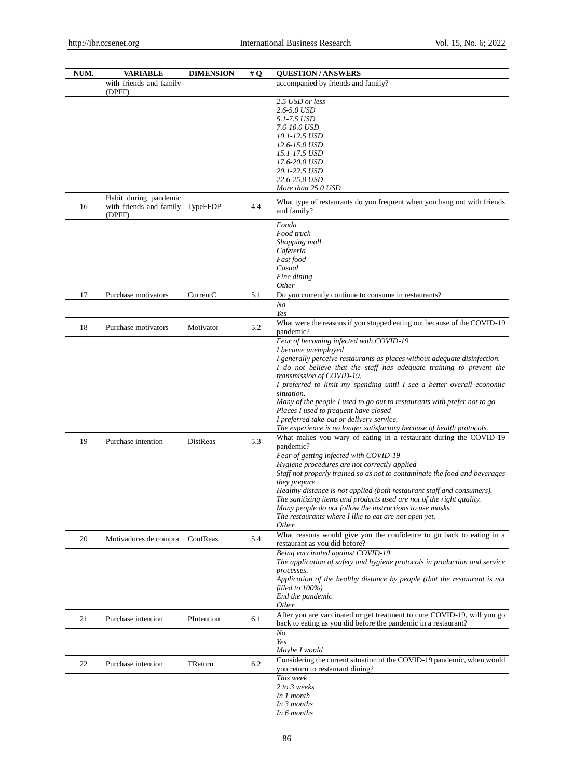| NUM. | <b>VARIABLE</b>                                                     | <b>DIMENSION</b> | #Q  | <b>QUESTION/ANSWERS</b>                                                                                                                                                                                                                                                                                                                                                                                                                                                                                                                                                             |
|------|---------------------------------------------------------------------|------------------|-----|-------------------------------------------------------------------------------------------------------------------------------------------------------------------------------------------------------------------------------------------------------------------------------------------------------------------------------------------------------------------------------------------------------------------------------------------------------------------------------------------------------------------------------------------------------------------------------------|
|      | with friends and family<br>(DPFF)                                   |                  |     | accompanied by friends and family?                                                                                                                                                                                                                                                                                                                                                                                                                                                                                                                                                  |
|      |                                                                     |                  |     | 2.5 USD or less<br>2.6-5.0 USD<br>5.1-7.5 USD<br>7.6-10.0 USD<br>10.1-12.5 USD<br>12.6-15.0 USD<br>15.1-17.5 USD<br>17.6-20.0 USD<br>20.1-22.5 USD<br>22.6-25.0 USD<br>More than 25.0 USD                                                                                                                                                                                                                                                                                                                                                                                           |
| 16   | Habit during pandemic<br>with friends and family TypeFFDP<br>(DPFF) |                  | 4.4 | What type of restaurants do you frequent when you hang out with friends<br>and family?                                                                                                                                                                                                                                                                                                                                                                                                                                                                                              |
|      |                                                                     |                  |     | Fonda<br>Food truck<br>Shopping mall<br>Cafeteria<br>Fast food<br>Casual<br>Fine dining<br><i>Other</i>                                                                                                                                                                                                                                                                                                                                                                                                                                                                             |
| 17   | Purchase motivators                                                 | CurrentC         | 5.1 | Do you currently continue to consume in restaurants?                                                                                                                                                                                                                                                                                                                                                                                                                                                                                                                                |
|      |                                                                     |                  |     | N <sub>O</sub><br>Yes                                                                                                                                                                                                                                                                                                                                                                                                                                                                                                                                                               |
| 18   | Purchase motivators                                                 | Motivator        | 5.2 | What were the reasons if you stopped eating out because of the COVID-19<br>pandemic?                                                                                                                                                                                                                                                                                                                                                                                                                                                                                                |
|      |                                                                     |                  |     | Fear of becoming infected with COVID-19<br>I became unemployed<br>I generally perceive restaurants as places without adequate disinfection.<br>I do not believe that the staff has adequate training to prevent the<br>transmission of COVID-19.<br>I preferred to limit my spending until I see a better overall economic<br>situation.<br>Many of the people I used to go out to restaurants with prefer not to go<br>Places I used to frequent have closed<br>I preferred take-out or delivery service.<br>The experience is no longer satisfactory because of health protocols. |
| 19   | Purchase intention                                                  | DistReas         | 5.3 | What makes you wary of eating in a restaurant during the COVID-19<br>pandemic?                                                                                                                                                                                                                                                                                                                                                                                                                                                                                                      |
|      |                                                                     |                  |     | Fear of getting infected with COVID-19<br>Hygiene procedures are not correctly applied<br>Staff not properly trained so as not to contaminate the food and beverages<br>they prepare<br>Healthy distance is not applied (both restaurant staff and consumers).<br>The sanitizing items and products used are not of the right quality.<br>Many people do not follow the instructions to use masks.<br>The restaurants where I like to eat are not open yet.<br><i>Other</i>                                                                                                         |
| 20   | Motivadores de compra                                               | ConfReas         | 5.4 | What reasons would give you the confidence to go back to eating in a<br>restaurant as you did before?                                                                                                                                                                                                                                                                                                                                                                                                                                                                               |
|      |                                                                     |                  |     | Being vaccinated against COVID-19<br>The application of safety and hygiene protocols in production and service<br>processes.<br>Application of the healthy distance by people (that the restaurant is not<br>filled to 100%)<br>End the pandemic<br><i>Other</i>                                                                                                                                                                                                                                                                                                                    |
| 21   | Purchase intention                                                  | PIntention       | 6.1 | After you are vaccinated or get treatment to cure COVID-19, will you go<br>back to eating as you did before the pandemic in a restaurant?<br>$N_{O}$                                                                                                                                                                                                                                                                                                                                                                                                                                |
|      |                                                                     |                  |     | Yes<br>Maybe I would                                                                                                                                                                                                                                                                                                                                                                                                                                                                                                                                                                |
| 22   | Purchase intention                                                  | TReturn          | 6.2 | Considering the current situation of the COVID-19 pandemic, when would<br>you return to restaurant dining?                                                                                                                                                                                                                                                                                                                                                                                                                                                                          |
|      |                                                                     |                  |     | This week<br>2 to 3 weeks<br>In 1 month<br>In 3 months<br>In 6 months                                                                                                                                                                                                                                                                                                                                                                                                                                                                                                               |